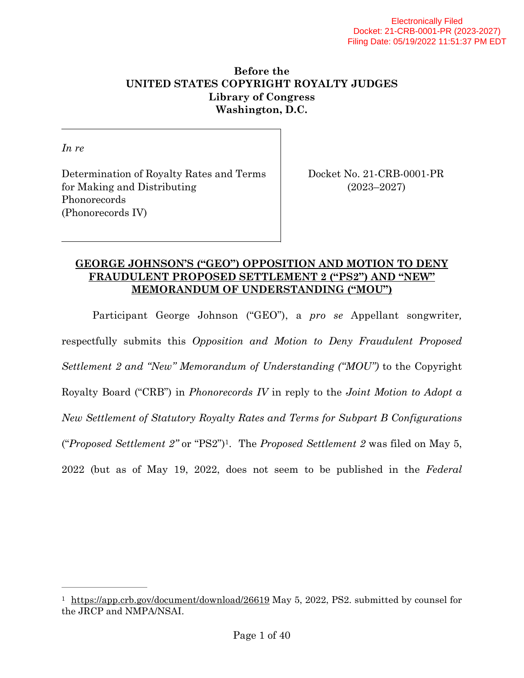# **Before the UNITED STATES COPYRIGHT ROYALTY JUDGES Library of Congress Washington, D.C.**

*In re*

Determination of Royalty Rates and Terms Docket No. 21-CRB-0001-PR for Making and Distributing (2023–2027) Phonorecords (Phonorecords IV)

# **GEORGE JOHNSON'S ("GEO") OPPOSITION AND MOTION TO DENY FRAUDULENT PROPOSED SETTLEMENT 2 ("PS2") AND "NEW" MEMORANDUM OF UNDERSTANDING ("MOU")**

<span id="page-0-1"></span>Participant George Johnson ("GEO"), a *pro se* Appellant songwriter*,*  respectfully submits this *Opposition and Motion to Deny Fraudulent Proposed Settlement 2 and "New" Memorandum of Understanding ("MOU")* to the Copyright Royalty Board ("CRB") in *Phonorecords IV* in reply to the *Joint Motion to Adopt a New Settlement of Statutory Royalty Rates and Terms for Subpart B Configurations*  ("*Proposed Settlement 2"* or "PS2") . The *Proposed Settlement 2* was filed on May 5, [1](#page-0-0) 2022 (but as of May 19, 2022, does not seem to be published in the *Federal* 

<span id="page-0-0"></span><sup>&</sup>lt;sup>1</sup> <https://app.crb.gov/document/download/26619>May 5, 2022, PS2. submitted by counsel for the JRCP and NMPA/NSAI.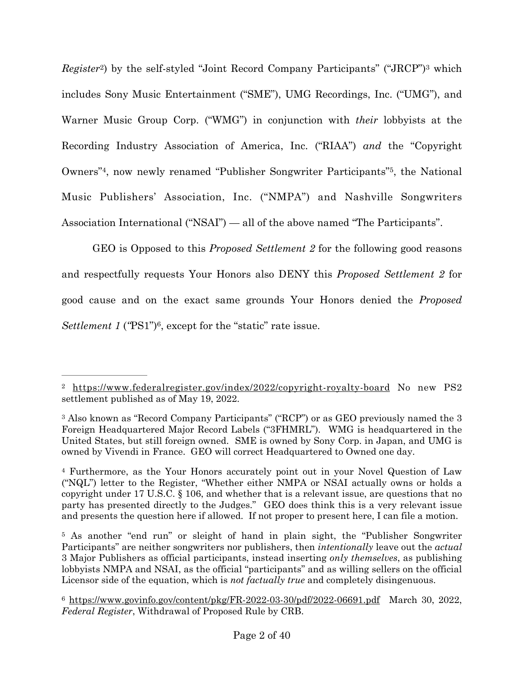<span id="page-1-6"></span><span id="page-1-5"></span>*Register*<sup>[2](#page-1-0)</sup>) by the self-styled "Joint Record Company Participants" ("JRCP")<sup>3</sup> which includes Sony Music Entertainment ("SME"), UMG Recordings, Inc. ("UMG"), and Warner Music Group Corp. ("WMG") in conjunction with *their* lobbyists at the Recording Industry Association of America, Inc. ("RIAA") *and* the "Copyright Owners<sup>"4</sup>[,](#page-1-3) now newly renamed "Publisher Songwriter Participants"<sup>5</sup>, the National Music Publishers' Association, Inc. ("NMPA") and Nashville Songwriters Association International ("NSAI") — all of the above named "The Participants".

<span id="page-1-8"></span><span id="page-1-7"></span>GEO is Opposed to this *Proposed Settlement 2* for the following good reasons and respectfully requests Your Honors also DENY this *Proposed Settlement 2* for good cause and on the exact same grounds Your Honors denied the *Proposed Settlement 1* ('PS1'')<sup>[6](#page-1-4)</sup>, except for the "static" rate issue.

<span id="page-1-9"></span><span id="page-1-0"></span><sup>&</sup>lt;sup>2</sup> <https://www.federalregister.gov/index/2022/copyright-royalty-board>No new PS[2](#page-1-5) settlement published as of May 19, 2022.

<span id="page-1-1"></span><sup>&</sup>lt;sup>[3](#page-1-6)</sup> Also known as "Record Company Participants" ("RCP") or as GEO previously named the 3 Foreign Headquartered Major Record Labels ("3FHMRL"). WMG is headquartered in the United States, but still foreign owned. SME is owned by Sony Corp. in Japan, and UMG is owned by Vivendi in France. GEO will correct Headquartered to Owned one day.

<span id="page-1-2"></span><sup>&</sup>lt;sup>[4](#page-1-7)</sup> Furthermore, as the Your Honors accurately point out in your Novel Question of Law ("NQL") letter to the Register, "Whether either NMPA or NSAI actually owns or holds a copyright under 17 U.S.C. § 106, and whether that is a relevant issue, are questions that no party has presented directly to the Judges." GEO does think this is a very relevant issue and presents the question here if allowed. If not proper to present here, I can file a motion.

<span id="page-1-3"></span><sup>&</sup>lt;sup>[5](#page-1-8)</sup> As another "end run" or sleight of hand in plain sight, the "Publisher Songwriter" Participants" are neither songwriters nor publishers, then *intentionally* leave out the *actual*  3 Major Publishers as official participants, instead inserting *only themselves*, as publishing lobbyists NMPA and NSAI, as the official "participants" and as willing sellers on the official Licensor side of the equation, which is *not factually true* and completely disingenuous.

<span id="page-1-4"></span> $6 \text{ https://www.govinfo.gov/content/bkg/FR-2022-03-30/pdf/2022-06691.pdf}$  $6 \text{ https://www.govinfo.gov/content/bkg/FR-2022-03-30/pdf/2022-06691.pdf}$  March 30, 2022, *Federal Register*, Withdrawal of Proposed Rule by CRB.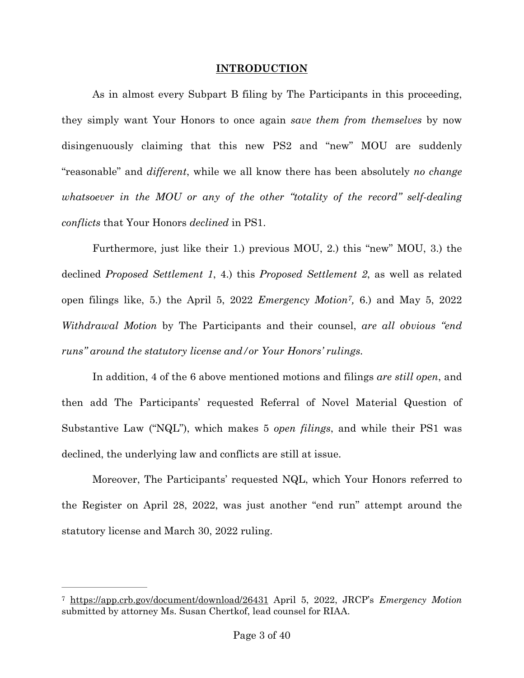## <span id="page-2-1"></span>**INTRODUCTION**

As in almost every Subpart B filing by The Participants in this proceeding, they simply want Your Honors to once again *save them from themselves* by now disingenuously claiming that this new PS2 and "new" MOU are suddenly "reasonable" and *different*, while we all know there has been absolutely *no change whatsoever in the MOU or any of the other "totality of the record" self-dealing conflicts* that Your Honors *declined* in PS1.

Furthermore, just like their 1.) previous MOU, 2.) this "new" MOU, 3.) the declined *Proposed Settlement 1*, 4.) this *Proposed Settlement 2*, as well as related open filings like, 5.) the April 5, 2022 *Emergency Motion*<sup>[7](#page-2-0)</sup>, 6.) and May 5, 2022 *Withdrawal Motion* by The Participants and their counsel, *are all obvious "end runs" around the statutory license and/or Your Honors' rulings.* 

In addition, 4 of the 6 above mentioned motions and filings *are still open*, and then add The Participants' requested Referral of Novel Material Question of Substantive Law ("NQL"), which makes 5 *open filings*, and while their PS1 was declined, the underlying law and conflicts are still at issue.

Moreover, The Participants' requested NQL, which Your Honors referred to the Register on April 28, 2022, was just another "end run" attempt around the statutory license and March 30, 2022 ruling.

<span id="page-2-0"></span><https://app.crb.gov/document/download/26431>April 5, 2022, JRCP's *Emergency Motion* [7](#page-2-1) submitted by attorney Ms. Susan Chertkof, lead counsel for RIAA.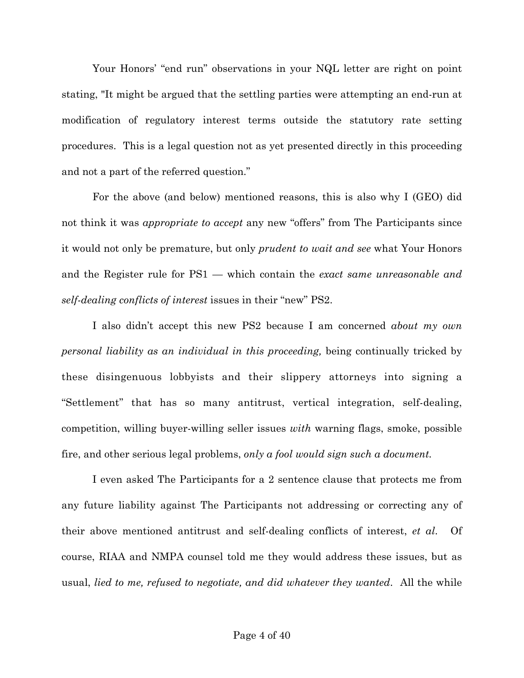Your Honors' "end run" observations in your NQL letter are right on point stating, "It might be argued that the settling parties were attempting an end-run at modification of regulatory interest terms outside the statutory rate setting procedures. This is a legal question not as yet presented directly in this proceeding and not a part of the referred question."

For the above (and below) mentioned reasons, this is also why I (GEO) did not think it was *appropriate to accept* any new "offers" from The Participants since it would not only be premature, but only *prudent to wait and see* what Your Honors and the Register rule for PS1 — which contain the *exact same unreasonable and self-dealing conflicts of interest* issues in their "new" PS2.

I also didn't accept this new PS2 because I am concerned *about my own personal liability as an individual in this proceeding,* being continually tricked by these disingenuous lobbyists and their slippery attorneys into signing a "Settlement" that has so many antitrust, vertical integration, self-dealing, competition, willing buyer-willing seller issues *with* warning flags, smoke, possible fire, and other serious legal problems, *only a fool would sign such a document.*

I even asked The Participants for a 2 sentence clause that protects me from any future liability against The Participants not addressing or correcting any of their above mentioned antitrust and self-dealing conflicts of interest, *et al*. Of course, RIAA and NMPA counsel told me they would address these issues, but as usual, *lied to me, refused to negotiate, and did whatever they wanted*. All the while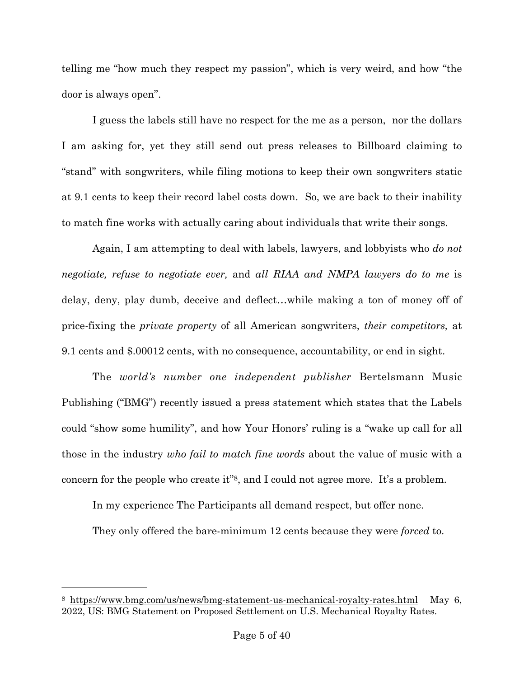telling me "how much they respect my passion", which is very weird, and how "the door is always open".

I guess the labels still have no respect for the me as a person, nor the dollars I am asking for, yet they still send out press releases to Billboard claiming to "stand" with songwriters, while filing motions to keep their own songwriters static at 9.1 cents to keep their record label costs down. So, we are back to their inability to match fine works with actually caring about individuals that write their songs.

Again, I am attempting to deal with labels, lawyers, and lobbyists who *do not negotiate, refuse to negotiate ever,* and *all RIAA and NMPA lawyers do to me* is delay, deny, play dumb, deceive and deflect…while making a ton of money off of price-fixing the *private property* of all American songwriters, *their competitors,* at 9.1 cents and \$.00012 cents, with no consequence, accountability, or end in sight.

The *world's number one independent publisher* Bertelsmann Music Publishing ("BMG") recently issued a press statement which states that the Labels could "show some humility", and how Your Honors' ruling is a "wake up call for all those in the industry *who fail to match fine words* about the value of music with a concern for the people who create it" $\frac{8}{3}$  $\frac{8}{3}$  $\frac{8}{3}$ , and I could not agree more. It's a problem.

<span id="page-4-1"></span>In my experience The Participants all demand respect, but offer none.

They only offered the bare-minimum 12 cents because they were *forced* to.

<span id="page-4-0"></span> $8$  <https://www.bmg.com/us/news/bmg-statement-us-mechanical-royalty-rates.html>May 6, 2022, US: BMG Statement on Proposed Settlement on U.S. Mechanical Royalty Rates.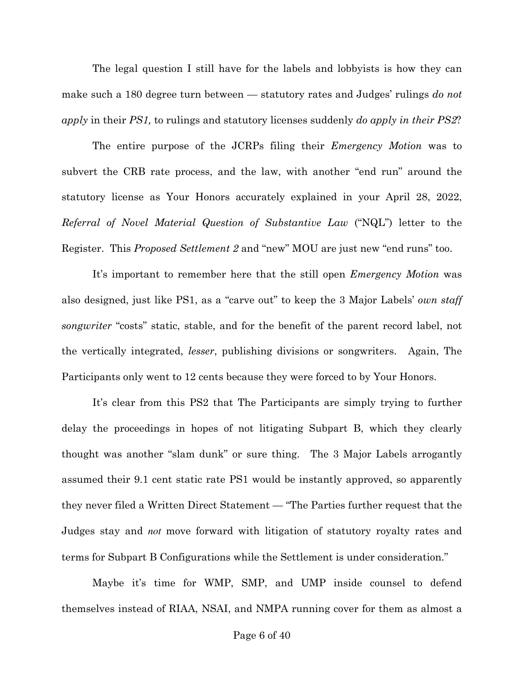The legal question I still have for the labels and lobbyists is how they can make such a 180 degree turn between — statutory rates and Judges' rulings *do not apply* in their *PS1,* to rulings and statutory licenses suddenly *do apply in their PS2*?

The entire purpose of the JCRPs filing their *Emergency Motion* was to subvert the CRB rate process, and the law, with another "end run" around the statutory license as Your Honors accurately explained in your April 28, 2022, *Referral of Novel Material Question of Substantive Law* ("NQL") letter to the Register. This *Proposed Settlement 2* and "new" MOU are just new "end runs" too.

It's important to remember here that the still open *Emergency Motion* was also designed, just like PS1, as a "carve out" to keep the 3 Major Labels' *own staff songwriter* "costs" static, stable, and for the benefit of the parent record label, not the vertically integrated, *lesser*, publishing divisions or songwriters. Again, The Participants only went to 12 cents because they were forced to by Your Honors.

It's clear from this PS2 that The Participants are simply trying to further delay the proceedings in hopes of not litigating Subpart B, which they clearly thought was another "slam dunk" or sure thing. The 3 Major Labels arrogantly assumed their 9.1 cent static rate PS1 would be instantly approved, so apparently they never filed a Written Direct Statement — "The Parties further request that the Judges stay and *not* move forward with litigation of statutory royalty rates and terms for Subpart B Configurations while the Settlement is under consideration."

Maybe it's time for WMP, SMP, and UMP inside counsel to defend themselves instead of RIAA, NSAI, and NMPA running cover for them as almost a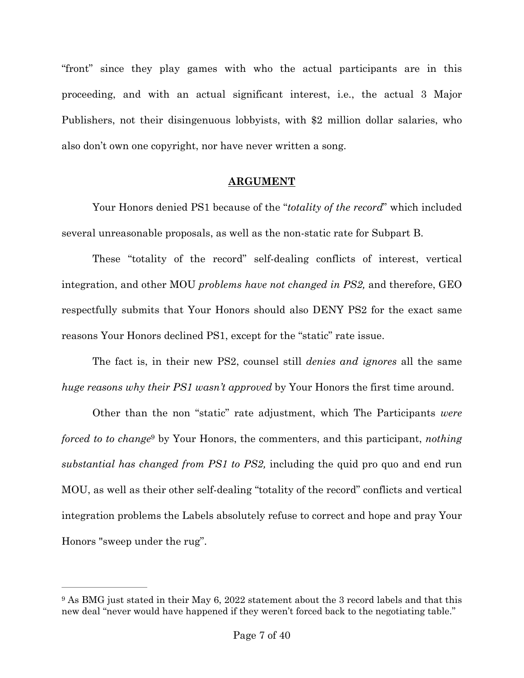"front" since they play games with who the actual participants are in this proceeding, and with an actual significant interest, i.e., the actual 3 Major Publishers, not their disingenuous lobbyists, with \$2 million dollar salaries, who also don't own one copyright, nor have never written a song.

## **ARGUMENT**

Your Honors denied PS1 because of the "*totality of the record*" which included several unreasonable proposals, as well as the non-static rate for Subpart B.

These "totality of the record" self-dealing conflicts of interest, vertical integration, and other MOU *problems have not changed in PS2,* and therefore, GEO respectfully submits that Your Honors should also DENY PS2 for the exact same reasons Your Honors declined PS1, except for the "static" rate issue.

The fact is, in their new PS2, counsel still *denies and ignores* all the same *huge reasons why their PS1 wasn't approved* by Your Honors the first time around.

<span id="page-6-1"></span>Other than the non "static" rate adjustment, which The Participants *were forced to to change* by Your Honors, the commenters, and this participant, *nothing substantial has changed from PS1 to PS2,* including the quid pro quo and end run MOU, as well as their other self-dealing "totality of the record" conflicts and vertical integration problems the Labels absolutely refuse to correct and hope and pray Your Honors "sweep under the rug".

<span id="page-6-0"></span><sup>&</sup>lt;sup>[9](#page-6-1)</sup> As BMG just stated in their May 6, 2022 statement about the 3 record labels and that this new deal "never would have happened if they weren't forced back to the negotiating table."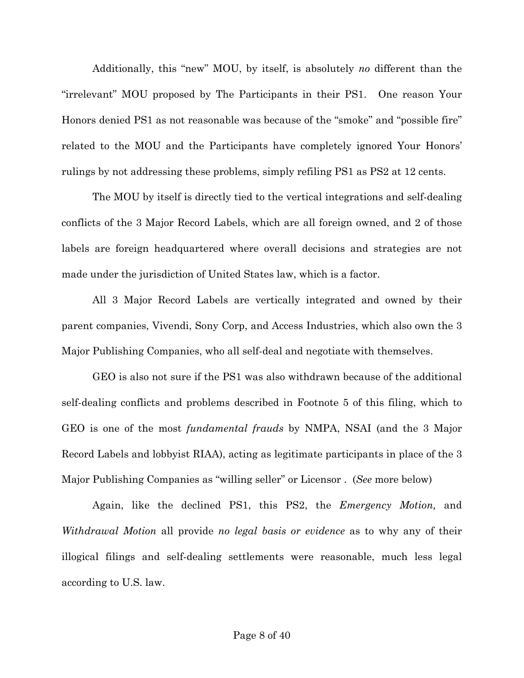Additionally, this "new" MOU, by itself, is absolutely *no* different than the "irrelevant" MOU proposed by The Participants in their PS1. One reason Your Honors denied PS1 as not reasonable was because of the "smoke" and "possible fire" related to the MOU and the Participants have completely ignored Your Honors' rulings by not addressing these problems, simply refiling PS1 as PS2 at 12 cents.

The MOU by itself is directly tied to the vertical integrations and self-dealing conflicts of the 3 Major Record Labels, which are all foreign owned, and 2 of those labels are foreign headquartered where overall decisions and strategies are not made under the jurisdiction of United States law, which is a factor.

All 3 Major Record Labels are vertically integrated and owned by their parent companies, Vivendi, Sony Corp, and Access Industries, which also own the 3 Major Publishing Companies, who all self-deal and negotiate with themselves.

GEO is also not sure if the PS1 was also withdrawn because of the additional self-dealing conflicts and problems described in Footnote 5 of this filing, which to GEO is one of the most *fundamental frauds* by NMPA, NSAI (and the 3 Major Record Labels and lobbyist RIAA), acting as legitimate participants in place of the 3 Major Publishing Companies as "willing seller" or Licensor . (*See* more below)

Again, like the declined PS1, this PS2, the *Emergency Motion,* and *Withdrawal Motion* all provide *no legal basis or evidence* as to why any of their illogical filings and self-dealing settlements were reasonable, much less legal according to U.S. law.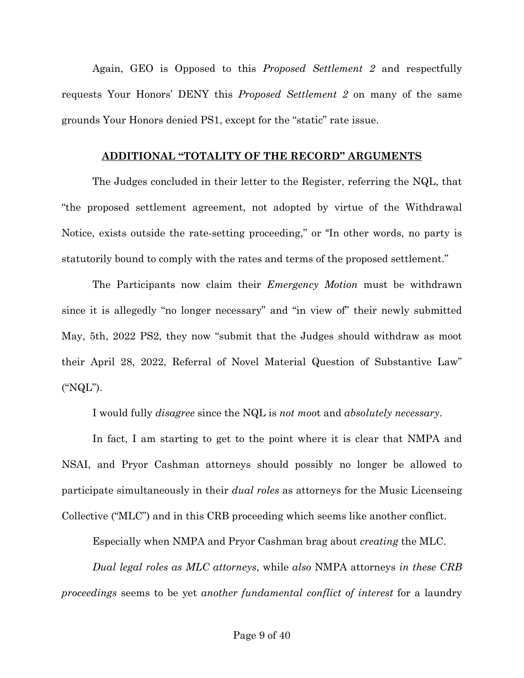Again, GEO is Opposed to this *Proposed Settlement 2* and respectfully requests Your Honors' DENY this *Proposed Settlement 2* on many of the same grounds Your Honors denied PS1, except for the "static" rate issue.

#### **ADDITIONAL "TOTALITY OF THE RECORD" ARGUMENTS**

The Judges concluded in their letter to the Register, referring the NQL, that "the proposed settlement agreement, not adopted by virtue of the Withdrawal Notice, exists outside the rate-setting proceeding," or "In other words, no party is statutorily bound to comply with the rates and terms of the proposed settlement."

The Participants now claim their *Emergency Motion* must be withdrawn since it is allegedly "no longer necessary" and "in view of" their newly submitted May, 5th, 2022 PS2, they now "submit that the Judges should withdraw as moot their April 28, 2022, Referral of Novel Material Question of Substantive Law" ("NQL").

I would fully *disagree* since the NQL is *not moo*t and *absolutely necessary*.

In fact, I am starting to get to the point where it is clear that NMPA and NSAI, and Pryor Cashman attorneys should possibly no longer be allowed to participate simultaneously in their *dual roles* as attorneys for the Music Licenseing Collective ("MLC") and in this CRB proceeding which seems like another conflict.

Especially when NMPA and Pryor Cashman brag about *creating* the MLC.

*Dual legal roles as MLC attorneys*, while *also* NMPA attorneys *in these CRB proceedings* seems to be yet *another fundamental conflict of interest* for a laundry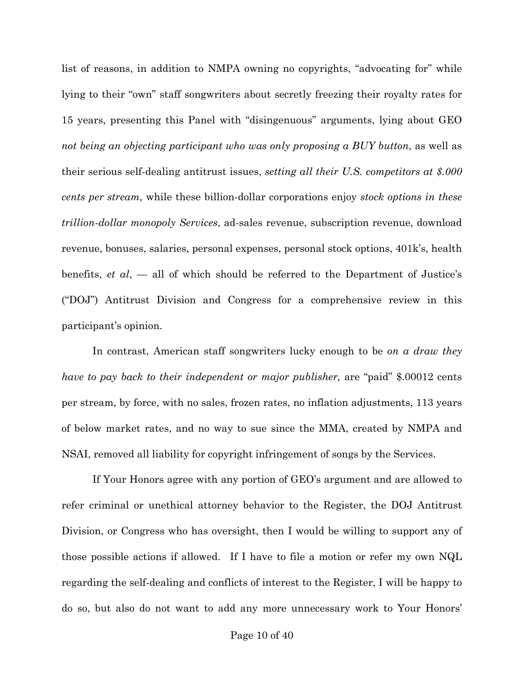list of reasons, in addition to NMPA owning no copyrights, "advocating for" while lying to their "own" staff songwriters about secretly freezing their royalty rates for 15 years, presenting this Panel with "disingenuous" arguments, lying about GEO *not being an objecting participant who was only proposing a BUY button*, as well as their serious self-dealing antitrust issues, *setting all their U.S. competitors at \$.000 cents per stream*, while these billion-dollar corporations enjoy *stock options in these trillion-dollar monopoly Services*, ad-sales revenue, subscription revenue, download revenue, bonuses, salaries, personal expenses, personal stock options, 401k's, health benefits, *et al*, — all of which should be referred to the Department of Justice's ("DOJ") Antitrust Division and Congress for a comprehensive review in this participant's opinion.

In contrast, American staff songwriters lucky enough to be *on a draw they have to pay back to their independent or major publisher,* are "paid" \$.00012 cents per stream, by force, with no sales, frozen rates, no inflation adjustments, 113 years of below market rates, and no way to sue since the MMA, created by NMPA and NSAI, removed all liability for copyright infringement of songs by the Services.

If Your Honors agree with any portion of GEO's argument and are allowed to refer criminal or unethical attorney behavior to the Register, the DOJ Antitrust Division, or Congress who has oversight, then I would be willing to support any of those possible actions if allowed. If I have to file a motion or refer my own NQL regarding the self-dealing and conflicts of interest to the Register, I will be happy to do so, but also do not want to add any more unnecessary work to Your Honors'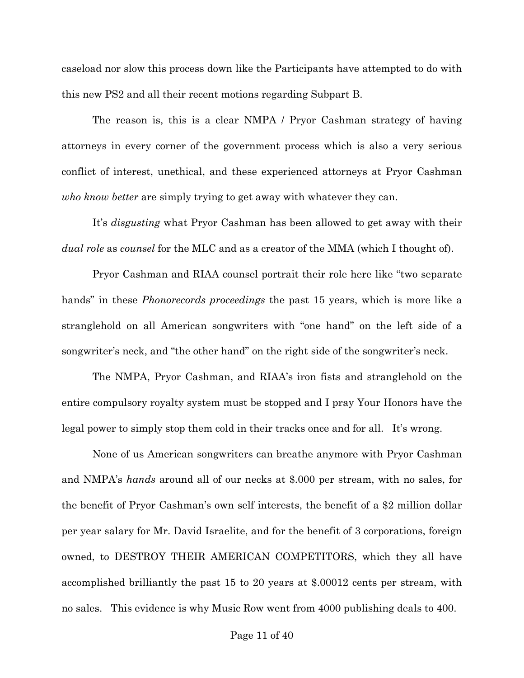caseload nor slow this process down like the Participants have attempted to do with this new PS2 and all their recent motions regarding Subpart B.

The reason is, this is a clear NMPA / Pryor Cashman strategy of having attorneys in every corner of the government process which is also a very serious conflict of interest, unethical, and these experienced attorneys at Pryor Cashman *who know better* are simply trying to get away with whatever they can.

It's *disgusting* what Pryor Cashman has been allowed to get away with their *dual role* as *counsel* for the MLC and as a creator of the MMA (which I thought of).

Pryor Cashman and RIAA counsel portrait their role here like "two separate hands" in these *Phonorecords proceedings* the past 15 years, which is more like a stranglehold on all American songwriters with "one hand" on the left side of a songwriter's neck, and "the other hand" on the right side of the songwriter's neck.

The NMPA, Pryor Cashman, and RIAA's iron fists and stranglehold on the entire compulsory royalty system must be stopped and I pray Your Honors have the legal power to simply stop them cold in their tracks once and for all. It's wrong.

None of us American songwriters can breathe anymore with Pryor Cashman and NMPA's *hands* around all of our necks at \$.000 per stream, with no sales, for the benefit of Pryor Cashman's own self interests, the benefit of a \$2 million dollar per year salary for Mr. David Israelite, and for the benefit of 3 corporations, foreign owned, to DESTROY THEIR AMERICAN COMPETITORS, which they all have accomplished brilliantly the past 15 to 20 years at \$.00012 cents per stream, with no sales. This evidence is why Music Row went from 4000 publishing deals to 400.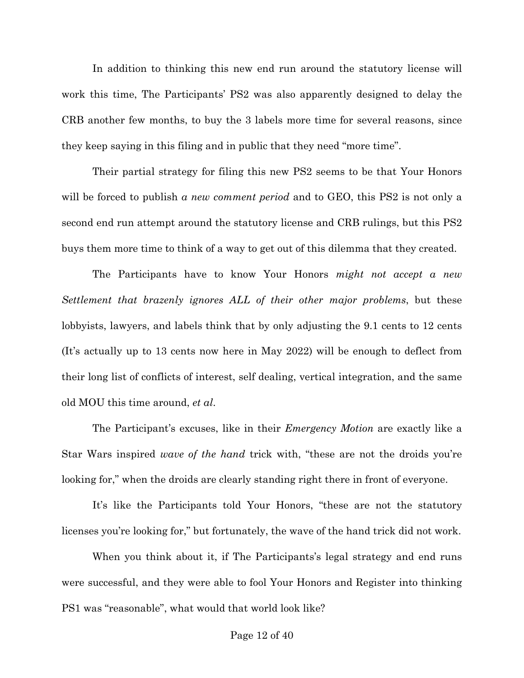In addition to thinking this new end run around the statutory license will work this time, The Participants' PS2 was also apparently designed to delay the CRB another few months, to buy the 3 labels more time for several reasons, since they keep saying in this filing and in public that they need "more time".

Their partial strategy for filing this new PS2 seems to be that Your Honors will be forced to publish *a new comment period* and to GEO, this PS2 is not only a second end run attempt around the statutory license and CRB rulings, but this PS2 buys them more time to think of a way to get out of this dilemma that they created.

The Participants have to know Your Honors *might not accept a new Settlement that brazenly ignores ALL of their other major problems*, but these lobbyists, lawyers, and labels think that by only adjusting the 9.1 cents to 12 cents (It's actually up to 13 cents now here in May 2022) will be enough to deflect from their long list of conflicts of interest, self dealing, vertical integration, and the same old MOU this time around, *et al*.

The Participant's excuses, like in their *Emergency Motion* are exactly like a Star Wars inspired *wave of the hand* trick with, "these are not the droids you're looking for," when the droids are clearly standing right there in front of everyone.

It's like the Participants told Your Honors, "these are not the statutory licenses you're looking for," but fortunately, the wave of the hand trick did not work.

When you think about it, if The Participants's legal strategy and end runs were successful, and they were able to fool Your Honors and Register into thinking PS1 was "reasonable", what would that world look like?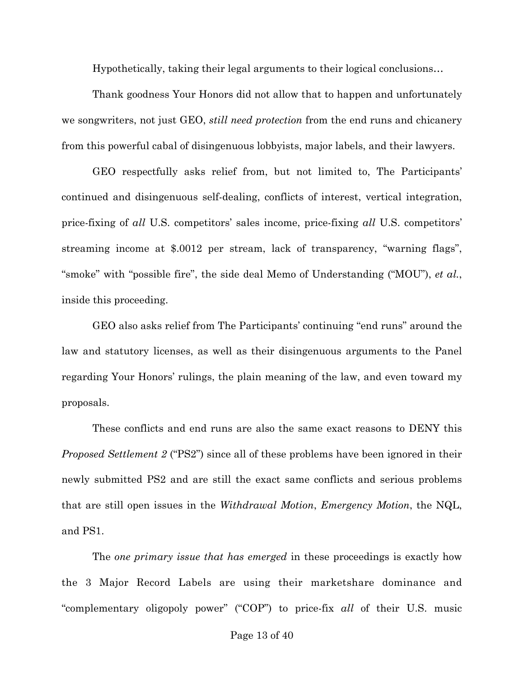Hypothetically, taking their legal arguments to their logical conclusions…

Thank goodness Your Honors did not allow that to happen and unfortunately we songwriters, not just GEO, *still need protection* from the end runs and chicanery from this powerful cabal of disingenuous lobbyists, major labels, and their lawyers.

GEO respectfully asks relief from, but not limited to, The Participants' continued and disingenuous self-dealing, conflicts of interest, vertical integration, price-fixing of *all* U.S. competitors' sales income, price-fixing *all* U.S. competitors' streaming income at \$.0012 per stream, lack of transparency, "warning flags", "smoke" with "possible fire", the side deal Memo of Understanding ("MOU"), *et al.*, inside this proceeding.

GEO also asks relief from The Participants' continuing "end runs" around the law and statutory licenses, as well as their disingenuous arguments to the Panel regarding Your Honors' rulings, the plain meaning of the law, and even toward my proposals.

These conflicts and end runs are also the same exact reasons to DENY this *Proposed Settlement 2* ("PS2") since all of these problems have been ignored in their newly submitted PS2 and are still the exact same conflicts and serious problems that are still open issues in the *Withdrawal Motion*, *Emergency Motion*, the NQL, and PS1.

The *one primary issue that has emerged* in these proceedings is exactly how the 3 Major Record Labels are using their marketshare dominance and "complementary oligopoly power" ("COP") to price-fix *all* of their U.S. music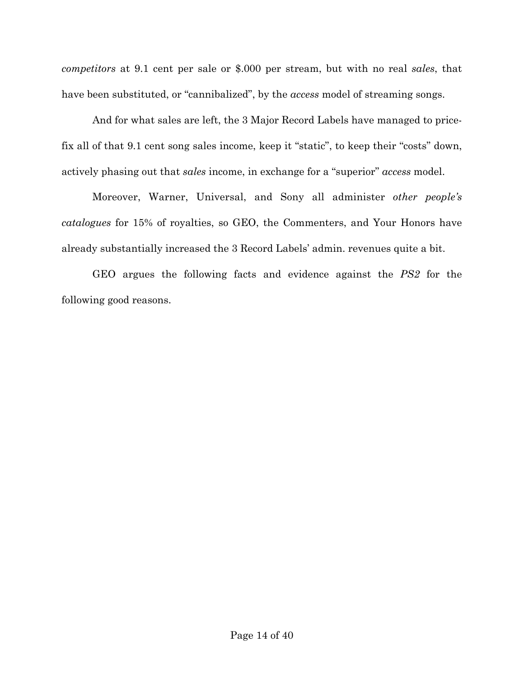*competitors* at 9.1 cent per sale or \$.000 per stream, but with no real *sales*, that have been substituted, or "cannibalized", by the *access* model of streaming songs.

And for what sales are left, the 3 Major Record Labels have managed to pricefix all of that 9.1 cent song sales income, keep it "static", to keep their "costs" down, actively phasing out that *sales* income, in exchange for a "superior" *access* model.

Moreover, Warner, Universal, and Sony all administer *other people's catalogues* for 15% of royalties, so GEO, the Commenters, and Your Honors have already substantially increased the 3 Record Labels' admin. revenues quite a bit.

GEO argues the following facts and evidence against the *PS2* for the following good reasons.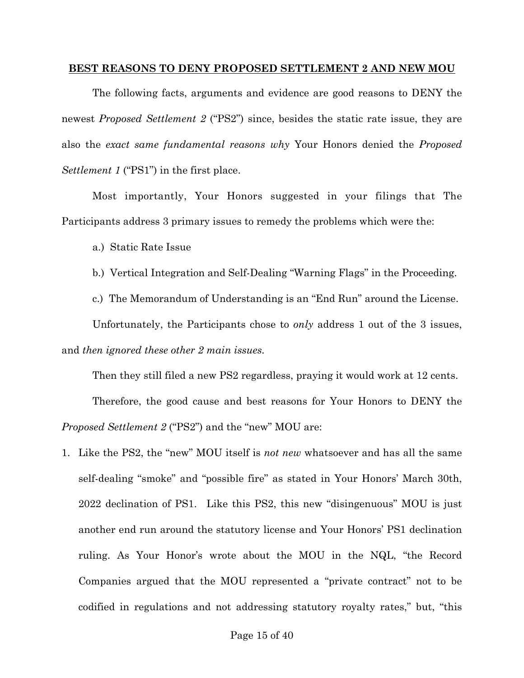#### **BEST REASONS TO DENY PROPOSED SETTLEMENT 2 AND NEW MOU**

The following facts, arguments and evidence are good reasons to DENY the newest *Proposed Settlement 2* ("PS2") since, besides the static rate issue, they are also the *exact same fundamental reasons why* Your Honors denied the *Proposed Settlement 1* ("PS1") in the first place.

Most importantly, Your Honors suggested in your filings that The Participants address 3 primary issues to remedy the problems which were the:

a.) Static Rate Issue

- b.) Vertical Integration and Self-Dealing "Warning Flags" in the Proceeding.
- c.) The Memorandum of Understanding is an "End Run" around the License.

Unfortunately, the Participants chose to *only* address 1 out of the 3 issues, and *then ignored these other 2 main issues.*

Then they still filed a new PS2 regardless, praying it would work at 12 cents.

Therefore, the good cause and best reasons for Your Honors to DENY the *Proposed Settlement 2* ("PS2") and the "new" MOU are:

1. Like the PS2, the "new" MOU itself is *not new* whatsoever and has all the same self-dealing "smoke" and "possible fire" as stated in Your Honors' March 30th, 2022 declination of PS1. Like this PS2, this new "disingenuous" MOU is just another end run around the statutory license and Your Honors' PS1 declination ruling. As Your Honor's wrote about the MOU in the NQL, "the Record Companies argued that the MOU represented a "private contract" not to be codified in regulations and not addressing statutory royalty rates," but, "this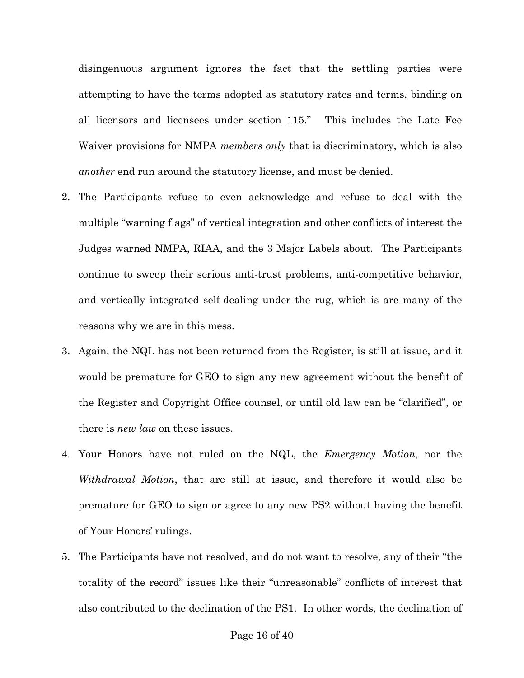disingenuous argument ignores the fact that the settling parties were attempting to have the terms adopted as statutory rates and terms, binding on all licensors and licensees under section 115." This includes the Late Fee Waiver provisions for NMPA *members only* that is discriminatory, which is also *another* end run around the statutory license, and must be denied.

- 2. The Participants refuse to even acknowledge and refuse to deal with the multiple "warning flags" of vertical integration and other conflicts of interest the Judges warned NMPA, RIAA, and the 3 Major Labels about. The Participants continue to sweep their serious anti-trust problems, anti-competitive behavior, and vertically integrated self-dealing under the rug, which is are many of the reasons why we are in this mess.
- 3. Again, the NQL has not been returned from the Register, is still at issue, and it would be premature for GEO to sign any new agreement without the benefit of the Register and Copyright Office counsel, or until old law can be "clarified", or there is *new law* on these issues.
- 4. Your Honors have not ruled on the NQL, the *Emergency Motion*, nor the *Withdrawal Motion*, that are still at issue, and therefore it would also be premature for GEO to sign or agree to any new PS2 without having the benefit of Your Honors' rulings.
- 5. The Participants have not resolved, and do not want to resolve, any of their "the totality of the record" issues like their "unreasonable" conflicts of interest that also contributed to the declination of the PS1. In other words, the declination of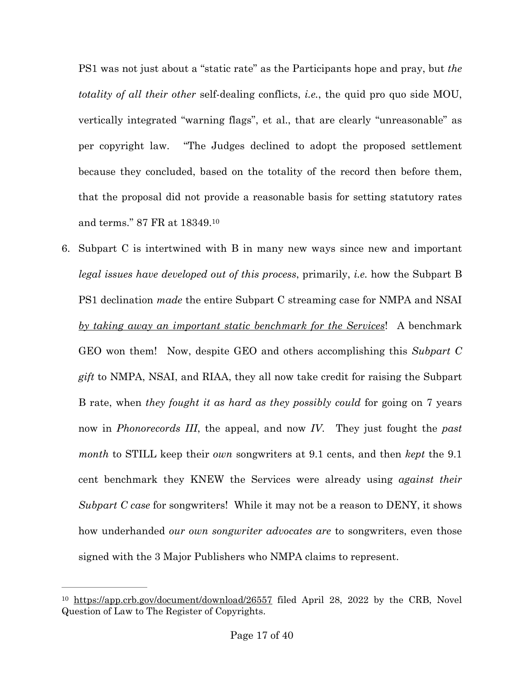PS1 was not just about a "static rate" as the Participants hope and pray, but *the totality of all their other* self-dealing conflicts, *i.e.*, the quid pro quo side MOU, vertically integrated "warning flags", et al., that are clearly "unreasonable" as per copyright law. "The Judges declined to adopt the proposed settlement because they concluded, based on the totality of the record then before them, that the proposal did not provide a reasonable basis for setting statutory rates and terms." 87 FR at 18349. [10](#page-16-0)

<span id="page-16-1"></span>6. Subpart C is intertwined with B in many new ways since new and important *legal issues have developed out of this process*, primarily, *i.e.* how the Subpart B PS1 declination *made* the entire Subpart C streaming case for NMPA and NSAI *by taking away an important static benchmark for the Services*! A benchmark GEO won them! Now, despite GEO and others accomplishing this *Subpart C gift* to NMPA, NSAI, and RIAA, they all now take credit for raising the Subpart B rate, when *they fought it as hard as they possibly could* for going on 7 years now in *Phonorecords III*, the appeal, and now *IV*. They just fought the *past month* to STILL keep their *own* songwriters at 9.1 cents, and then *kept* the 9.1 cent benchmark they KNEW the Services were already using *against their Subpart C case* for songwriters! While it may not be a reason to DENY, it shows how underhanded *our own songwriter advocates are* to songwriters, even those signed with the 3 Major Publishers who NMPA claims to represent.

<span id="page-16-0"></span> $10$  <https://app.crb.gov/document/download/26557> filed April 28, 2022 by the CRB, Novel Question of Law to The Register of Copyrights.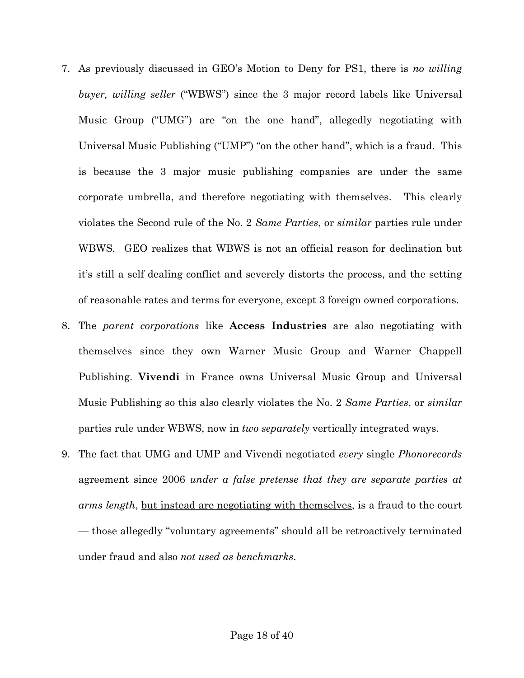- 7. As previously discussed in GEO's Motion to Deny for PS1, there is *no willing buyer, willing seller* ("WBWS") since the 3 major record labels like Universal Music Group ("UMG") are "on the one hand", allegedly negotiating with Universal Music Publishing ("UMP") "on the other hand", which is a fraud. This is because the 3 major music publishing companies are under the same corporate umbrella, and therefore negotiating with themselves. This clearly violates the Second rule of the No. 2 *Same Parties*, or *similar* parties rule under WBWS. GEO realizes that WBWS is not an official reason for declination but it's still a self dealing conflict and severely distorts the process, and the setting of reasonable rates and terms for everyone, except 3 foreign owned corporations.
- 8. The *parent corporations* like **Access Industries** are also negotiating with themselves since they own Warner Music Group and Warner Chappell Publishing. **Vivendi** in France owns Universal Music Group and Universal Music Publishing so this also clearly violates the No. 2 *Same Parties*, or *similar* parties rule under WBWS, now in *two separately* vertically integrated ways.
- 9. The fact that UMG and UMP and Vivendi negotiated *every* single *Phonorecords*  agreement since 2006 *under a false pretense that they are separate parties at arms length*, but instead are negotiating with themselves, is a fraud to the court — those allegedly "voluntary agreements" should all be retroactively terminated under fraud and also *not used as benchmarks*.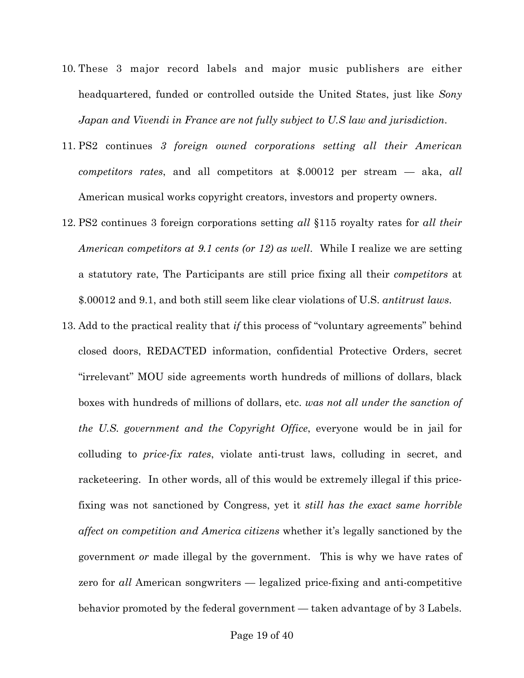- 10. These 3 major record labels and major music publishers are either headquartered, funded or controlled outside the United States, just like *Sony Japan and Vivendi in France are not fully subject to U.S law and jurisdiction*.
- 11. PS2 continues *3 foreign owned corporations setting all their American competitors rates*, and all competitors at \$.00012 per stream — aka, *all* American musical works copyright creators, investors and property owners.
- 12. PS2 continues 3 foreign corporations setting *all* §115 royalty rates for *all their American competitors at 9.1 cents (or 12) as well*. While I realize we are setting a statutory rate, The Participants are still price fixing all their *competitors* at \$.00012 and 9.1, and both still seem like clear violations of U.S. *antitrust laws*.
- 13. Add to the practical reality that *if* this process of "voluntary agreements" behind closed doors, REDACTED information, confidential Protective Orders, secret "irrelevant" MOU side agreements worth hundreds of millions of dollars, black boxes with hundreds of millions of dollars, etc. *was not all under the sanction of the U.S. government and the Copyright Office*, everyone would be in jail for colluding to *price-fix rates*, violate anti-trust laws, colluding in secret, and racketeering. In other words, all of this would be extremely illegal if this pricefixing was not sanctioned by Congress, yet it *still has the exact same horrible affect on competition and America citizens* whether it's legally sanctioned by the government *or* made illegal by the government. This is why we have rates of zero for *all* American songwriters — legalized price-fixing and anti-competitive behavior promoted by the federal government — taken advantage of by 3 Labels.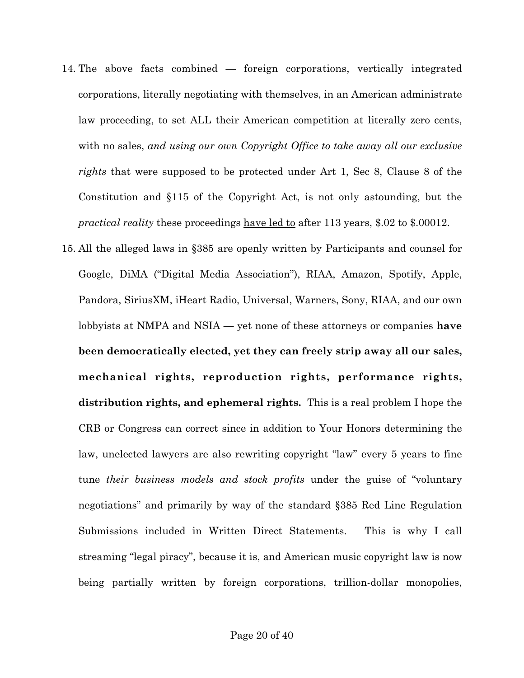- 14. The above facts combined foreign corporations, vertically integrated corporations, literally negotiating with themselves, in an American administrate law proceeding, to set ALL their American competition at literally zero cents, with no sales, *and using our own Copyright Office to take away all our exclusive rights* that were supposed to be protected under Art 1, Sec 8, Clause 8 of the Constitution and §115 of the Copyright Act, is not only astounding, but the *practical reality* these proceedings have led to after 113 years, \$.02 to \$.00012.
- 15. All the alleged laws in §385 are openly written by Participants and counsel for Google, DiMA ("Digital Media Association"), RIAA, Amazon, Spotify, Apple, Pandora, SiriusXM, iHeart Radio, Universal, Warners, Sony, RIAA, and our own lobbyists at NMPA and NSIA — yet none of these attorneys or companies **have been democratically elected, yet they can freely strip away all our sales, mechanical rights, reproduction rights, performance rights, distribution rights, and ephemeral rights.** This is a real problem I hope the CRB or Congress can correct since in addition to Your Honors determining the law, unelected lawyers are also rewriting copyright "law" every 5 years to fine tune *their business models and stock profits* under the guise of "voluntary negotiations" and primarily by way of the standard §385 Red Line Regulation Submissions included in Written Direct Statements. This is why I call streaming "legal piracy", because it is, and American music copyright law is now being partially written by foreign corporations, trillion-dollar monopolies,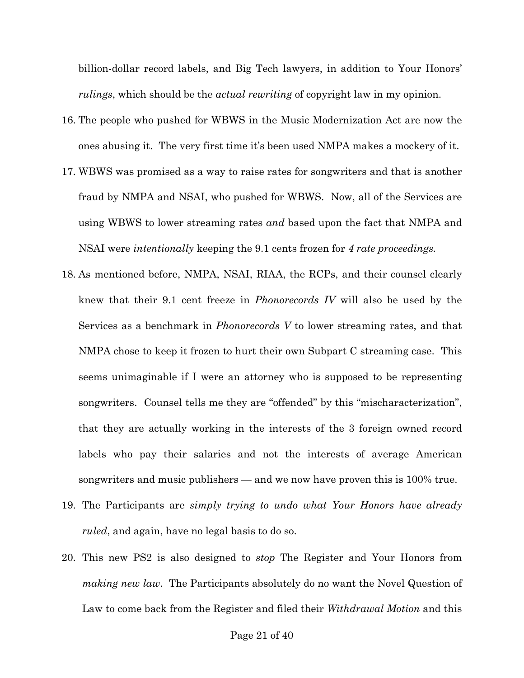billion-dollar record labels, and Big Tech lawyers, in addition to Your Honors' *rulings*, which should be the *actual rewriting* of copyright law in my opinion.

- 16. The people who pushed for WBWS in the Music Modernization Act are now the ones abusing it. The very first time it's been used NMPA makes a mockery of it.
- 17. WBWS was promised as a way to raise rates for songwriters and that is another fraud by NMPA and NSAI, who pushed for WBWS. Now, all of the Services are using WBWS to lower streaming rates *and* based upon the fact that NMPA and NSAI were *intentionally* keeping the 9.1 cents frozen for *4 rate proceedings.*
- 18. As mentioned before, NMPA, NSAI, RIAA, the RCPs, and their counsel clearly knew that their 9.1 cent freeze in *Phonorecords IV* will also be used by the Services as a benchmark in *Phonorecords V* to lower streaming rates, and that NMPA chose to keep it frozen to hurt their own Subpart C streaming case. This seems unimaginable if I were an attorney who is supposed to be representing songwriters. Counsel tells me they are "offended" by this "mischaracterization", that they are actually working in the interests of the 3 foreign owned record labels who pay their salaries and not the interests of average American songwriters and music publishers — and we now have proven this is 100% true.
- 19. The Participants are *simply trying to undo what Your Honors have already ruled*, and again, have no legal basis to do so.
- 20. This new PS2 is also designed to *stop* The Register and Your Honors from *making new law*. The Participants absolutely do no want the Novel Question of Law to come back from the Register and filed their *Withdrawal Motion* and this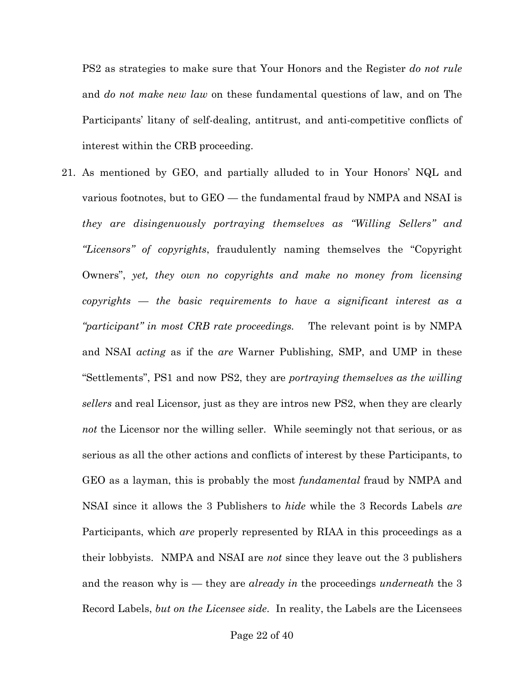PS2 as strategies to make sure that Your Honors and the Register *do not rule*  and *do not make new law* on these fundamental questions of law, and on The Participants' litany of self-dealing, antitrust, and anti-competitive conflicts of interest within the CRB proceeding.

21. As mentioned by GEO, and partially alluded to in Your Honors' NQL and various footnotes, but to GEO — the fundamental fraud by NMPA and NSAI is *they are disingenuously portraying themselves as "Willing Sellers" and "Licensors" of copyrights*, fraudulently naming themselves the "Copyright Owners", *yet, they own no copyrights and make no money from licensing copyrights — the basic requirements to have a significant interest as a "participant" in most CRB rate proceedings.* The relevant point is by NMPA and NSAI *acting* as if the *are* Warner Publishing, SMP, and UMP in these "Settlements", PS1 and now PS2, they are *portraying themselves as the willing sellers* and real Licensor*,* just as they are intros new PS2, when they are clearly *not* the Licensor nor the willing seller. While seemingly not that serious, or as serious as all the other actions and conflicts of interest by these Participants, to GEO as a layman, this is probably the most *fundamental* fraud by NMPA and NSAI since it allows the 3 Publishers to *hide* while the 3 Records Labels *are* Participants, which *are* properly represented by RIAA in this proceedings as a their lobbyists. NMPA and NSAI are *not* since they leave out the 3 publishers and the reason why is — they are *already in* the proceedings *underneath* the 3 Record Labels, *but on the Licensee side*. In reality, the Labels are the Licensees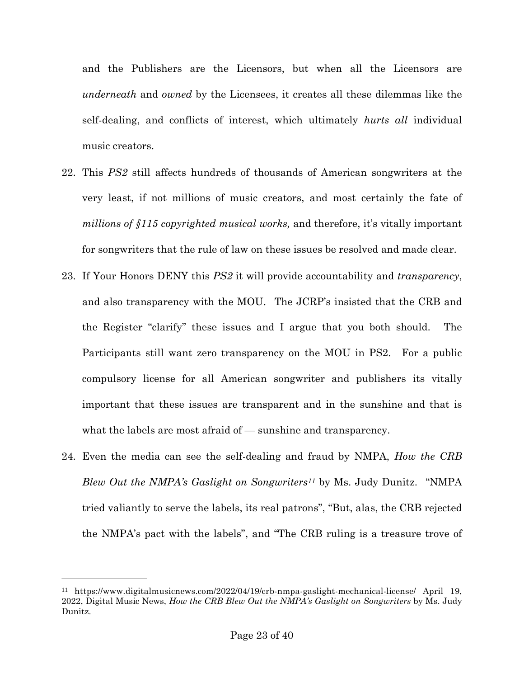and the Publishers are the Licensors, but when all the Licensors are *underneath* and *owned* by the Licensees, it creates all these dilemmas like the self-dealing, and conflicts of interest, which ultimately *hurts all* individual music creators.

- 22. This *PS2* still affects hundreds of thousands of American songwriters at the very least, if not millions of music creators, and most certainly the fate of *millions of §115 copyrighted musical works,* and therefore, it's vitally important for songwriters that the rule of law on these issues be resolved and made clear.
- 23. If Your Honors DENY this *PS2* it will provide accountability and *transparency*, and also transparency with the MOU. The JCRP's insisted that the CRB and the Register "clarify" these issues and I argue that you both should. The Participants still want zero transparency on the MOU in PS2. For a public compulsory license for all American songwriter and publishers its vitally important that these issues are transparent and in the sunshine and that is what the labels are most afraid of — sunshine and transparency.
- <span id="page-22-1"></span>24. Even the media can see the self-dealing and fraud by NMPA, *How the CRB Blew Out the NMPA's Gaslight on Songwriters<sup>[11](#page-22-0)</sup> by Ms. Judy Dunitz.* "NMPA tried valiantly to serve the labels, its real patrons", "But, alas, the CRB rejected the NMPA's pact with the labels", and "The CRB ruling is a treasure trove of

<span id="page-22-0"></span><sup>&</sup>lt;sup>11</sup> <https://www.digitalmusicnews.com/2022/04/19/crb-nmpa-gaslight-mechanical-license/> April 19, 2022, Digital Music News, *How the CRB Blew Out the NMPA's Gaslight on Songwriters* by Ms. Judy Dunitz.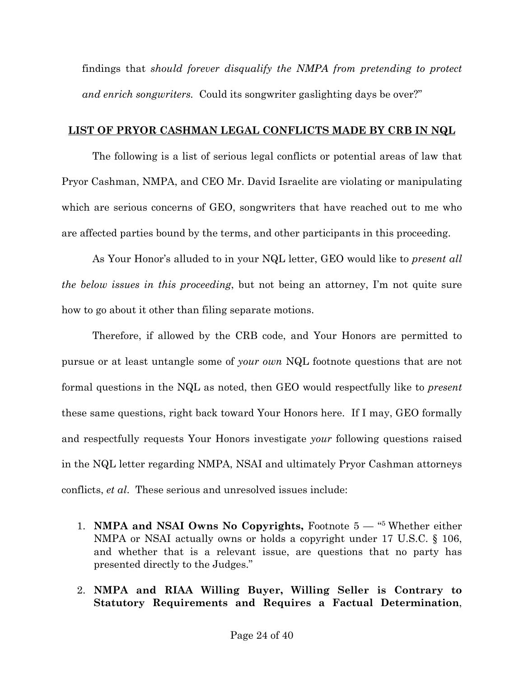findings that *should forever disqualify the NMPA from pretending to protect and enrich songwriters.* Could its songwriter gaslighting days be over?"

## **LIST OF PRYOR CASHMAN LEGAL CONFLICTS MADE BY CRB IN NQL**

The following is a list of serious legal conflicts or potential areas of law that Pryor Cashman, NMPA, and CEO Mr. David Israelite are violating or manipulating which are serious concerns of GEO, songwriters that have reached out to me who are affected parties bound by the terms, and other participants in this proceeding.

As Your Honor's alluded to in your NQL letter, GEO would like to *present all the below issues in this proceeding*, but not being an attorney, I'm not quite sure how to go about it other than filing separate motions.

Therefore, if allowed by the CRB code, and Your Honors are permitted to pursue or at least untangle some of *your own* NQL footnote questions that are not formal questions in the NQL as noted, then GEO would respectfully like to *present* these same questions, right back toward Your Honors here. If I may, GEO formally and respectfully requests Your Honors investigate *your* following questions raised in the NQL letter regarding NMPA, NSAI and ultimately Pryor Cashman attorneys conflicts, *et al*. These serious and unresolved issues include:

- 1. **NMPA and NSAI Owns No Copyrights,** Footnote 5 "5 Whether either NMPA or NSAI actually owns or holds a copyright under 17 U.S.C. § 106, and whether that is a relevant issue, are questions that no party has presented directly to the Judges."
- 2. **NMPA and RIAA Willing Buyer, Willing Seller is Contrary to Statutory Requirements and Requires a Factual Determination**,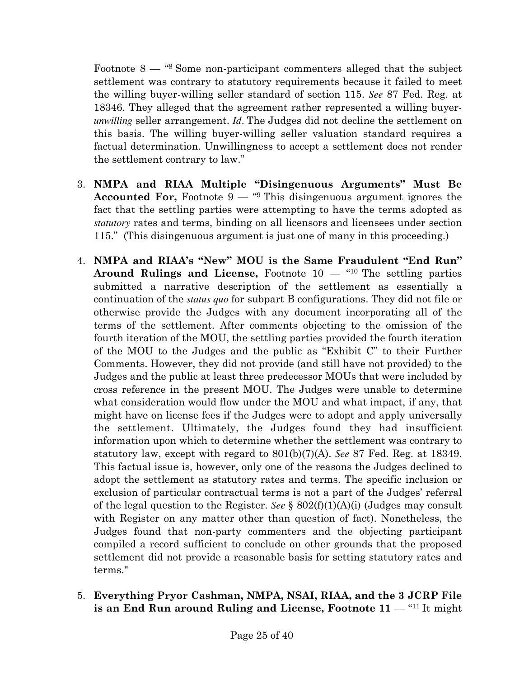Footnote 8 — "8 Some non-participant commenters alleged that the subject settlement was contrary to statutory requirements because it failed to meet the willing buyer-willing seller standard of section 115. *See* 87 Fed. Reg. at 18346. They alleged that the agreement rather represented a willing buyer*unwilling* seller arrangement. *Id.* The Judges did not decline the settlement on this basis. The willing buyer-willing seller valuation standard requires a factual determination. Unwillingness to accept a settlement does not render the settlement contrary to law."

- 3. **NMPA and RIAA Multiple "Disingenuous Arguments" Must Be Accounted For,** Footnote 9 — "9 This disingenuous argument ignores the fact that the settling parties were attempting to have the terms adopted as *statutory* rates and terms, binding on all licensors and licensees under section 115." (This disingenuous argument is just one of many in this proceeding.)
- 4. **NMPA and RIAA's "New" MOU is the Same Fraudulent "End Run" Around Rulings and License,** Footnote 10 — "10 The settling parties submitted a narrative description of the settlement as essentially a continuation of the *status quo* for subpart B configurations. They did not file or otherwise provide the Judges with any document incorporating all of the terms of the settlement. After comments objecting to the omission of the fourth iteration of the MOU, the settling parties provided the fourth iteration of the MOU to the Judges and the public as "Exhibit C" to their Further Comments. However, they did not provide (and still have not provided) to the Judges and the public at least three predecessor MOUs that were included by cross reference in the present MOU. The Judges were unable to determine what consideration would flow under the MOU and what impact, if any, that might have on license fees if the Judges were to adopt and apply universally the settlement. Ultimately, the Judges found they had insufficient information upon which to determine whether the settlement was contrary to statutory law, except with regard to 801(b)(7)(A). *See* 87 Fed. Reg. at 18349. This factual issue is, however, only one of the reasons the Judges declined to adopt the settlement as statutory rates and terms. The specific inclusion or exclusion of particular contractual terms is not a part of the Judges' referral of the legal question to the Register. *See* § 802(f)(1)(A)(i) (Judges may consult with Register on any matter other than question of fact). Nonetheless, the Judges found that non-party commenters and the objecting participant compiled a record sufficient to conclude on other grounds that the proposed settlement did not provide a reasonable basis for setting statutory rates and terms."
- 5. **Everything Pryor Cashman, NMPA, NSAI, RIAA, and the 3 JCRP File is an End Run around Ruling and License, Footnote 11** — "11 It might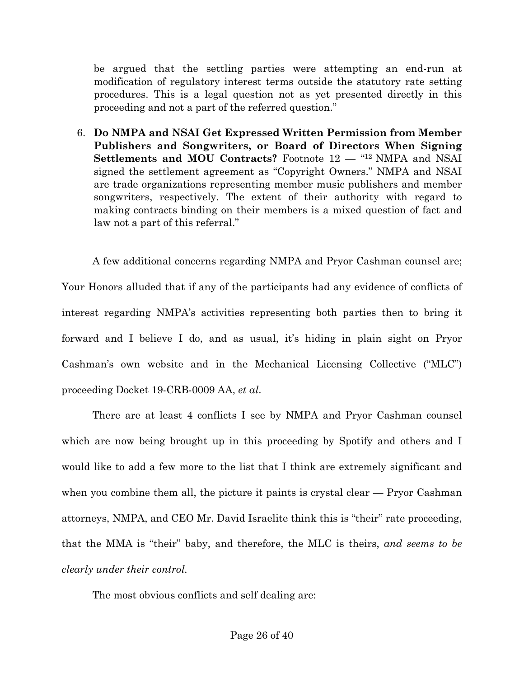be argued that the settling parties were attempting an end-run at modification of regulatory interest terms outside the statutory rate setting procedures. This is a legal question not as yet presented directly in this proceeding and not a part of the referred question."

6. **Do NMPA and NSAI Get Expressed Written Permission from Member Publishers and Songwriters, or Board of Directors When Signing Settlements and MOU Contracts?** Footnote 12 — "12 NMPA and NSAI signed the settlement agreement as "Copyright Owners." NMPA and NSAI are trade organizations representing member music publishers and member songwriters, respectively. The extent of their authority with regard to making contracts binding on their members is a mixed question of fact and law not a part of this referral."

A few additional concerns regarding NMPA and Pryor Cashman counsel are; Your Honors alluded that if any of the participants had any evidence of conflicts of interest regarding NMPA's activities representing both parties then to bring it forward and I believe I do, and as usual, it's hiding in plain sight on Pryor Cashman's own website and in the Mechanical Licensing Collective ("MLC") proceeding Docket 19-CRB-0009 AA, *et al*.

There are at least 4 conflicts I see by NMPA and Pryor Cashman counsel which are now being brought up in this proceeding by Spotify and others and I would like to add a few more to the list that I think are extremely significant and when you combine them all, the picture it paints is crystal clear — Pryor Cashman attorneys, NMPA, and CEO Mr. David Israelite think this is "their" rate proceeding, that the MMA is "their" baby, and therefore, the MLC is theirs, *and seems to be clearly under their control.* 

The most obvious conflicts and self dealing are: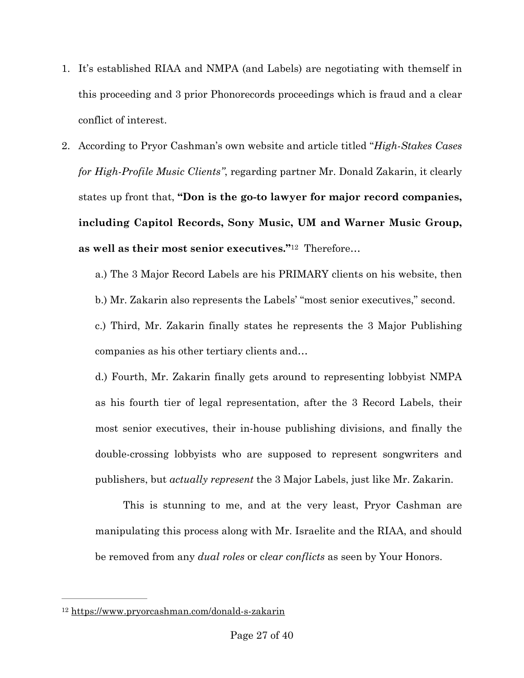- 1. It's established RIAA and NMPA (and Labels) are negotiating with themself in this proceeding and 3 prior Phonorecords proceedings which is fraud and a clear conflict of interest.
- 2. According to Pryor Cashman's own website and article titled "*High-Stakes Cases for High-Profile Music Clients"*, regarding partner Mr. Donald Zakarin, it clearly states up front that, **"Don is the go-to lawyer for major record companies, including Capitol Records, Sony Music, UM and Warner Music Group, as well as their most senior executives."**[12](#page-26-0) Therefore…

<span id="page-26-1"></span>a.) The 3 Major Record Labels are his PRIMARY clients on his website, then

b.) Mr. Zakarin also represents the Labels' "most senior executives," second.

c.) Third, Mr. Zakarin finally states he represents the 3 Major Publishing companies as his other tertiary clients and…

d.) Fourth, Mr. Zakarin finally gets around to representing lobbyist NMPA as his fourth tier of legal representation, after the 3 Record Labels, their most senior executives, their in-house publishing divisions, and finally the double-crossing lobbyists who are supposed to represent songwriters and publishers, but *actually represent* the 3 Major Labels, just like Mr. Zakarin.

This is stunning to me, and at the very least, Pryor Cashman are manipulating this process along with Mr. Israelite and the RIAA, and should be removed from any *dual roles* or c*lear conflicts* as seen by Your Honors.

<span id="page-26-0"></span>[<sup>12</sup>](#page-26-1) <https://www.pryorcashman.com/donald-s-zakarin>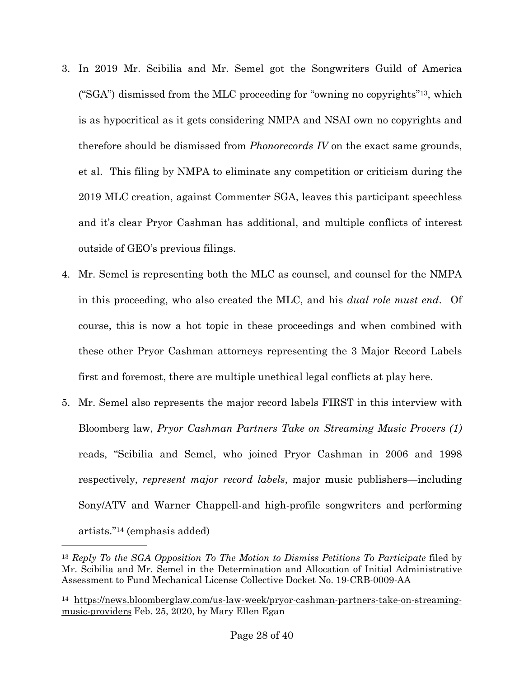- <span id="page-27-2"></span>3. In 2019 Mr. Scibilia and Mr. Semel got the Songwriters Guild of America ("SGA") dismissed from the MLC proceeding for "owning no copyrights"<sup>13</sup>[,](#page-27-0) which is as hypocritical as it gets considering NMPA and NSAI own no copyrights and therefore should be dismissed from *Phonorecords IV* on the exact same grounds, et al. This filing by NMPA to eliminate any competition or criticism during the 2019 MLC creation, against Commenter SGA, leaves this participant speechless and it's clear Pryor Cashman has additional, and multiple conflicts of interest outside of GEO's previous filings.
- 4. Mr. Semel is representing both the MLC as counsel, and counsel for the NMPA in this proceeding, who also created the MLC, and his *dual role must end*. Of course, this is now a hot topic in these proceedings and when combined with these other Pryor Cashman attorneys representing the 3 Major Record Labels first and foremost, there are multiple unethical legal conflicts at play here.
- 5. Mr. Semel also represents the major record labels FIRST in this interview with Bloomberg law, *Pryor Cashman Partners Take on Streaming Music Provers (1)* reads, "Scibilia and Semel, who joined Pryor Cashman in 2006 and 1998 respectively, *represent major record labels*, major music publishers—including Sony/ATV and Warner Chappell-and high-profile songwriters and performing  $artists." <sup>14</sup>$  $artists." <sup>14</sup>$  $artists." <sup>14</sup>$  (emphasis added)

<span id="page-27-3"></span><span id="page-27-0"></span><sup>&</sup>lt;sup>[13](#page-27-2)</sup> Reply To the SGA Opposition To The Motion to Dismiss Petitions To Participate filed by Mr. Scibilia and Mr. Semel in the Determination and Allocation of Initial Administrative Assessment to Fund Mechanical License Collective Docket No. 19-CRB-0009-AA

<span id="page-27-1"></span><sup>&</sup>lt;sup>14</sup> [https://news.bloomberglaw.com/us-law-week/pryor-cashman-partners-take-on-streaming](https://news.bloomberglaw.com/us-law-week/pryor-cashman-partners-take-on-streaming-music-providers) [music-providers](https://news.bloomberglaw.com/us-law-week/pryor-cashman-partners-take-on-streaming-music-providers) Feb. 25, 2020, by Mary Ellen Egan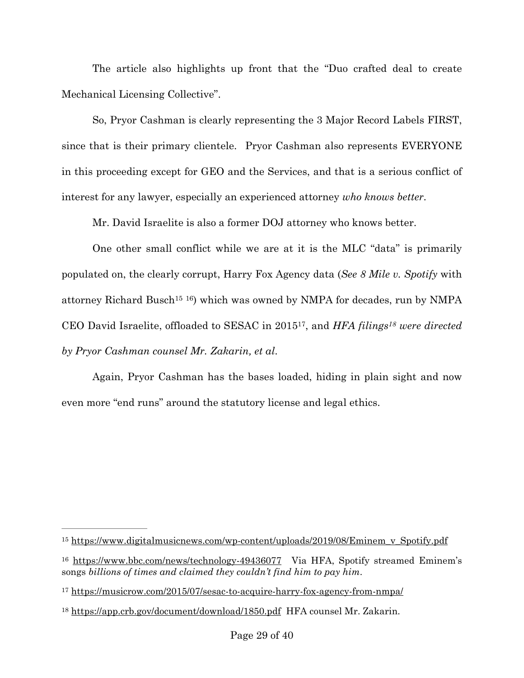The article also highlights up front that the "Duo crafted deal to create Mechanical Licensing Collective".

So, Pryor Cashman is clearly representing the 3 Major Record Labels FIRST, since that is their primary clientele. Pryor Cashman also represents EVERYONE in this proceeding except for GEO and the Services, and that is a serious conflict of interest for any lawyer, especially an experienced attorney *who knows better*.

<span id="page-28-7"></span><span id="page-28-6"></span><span id="page-28-5"></span><span id="page-28-4"></span>Mr. David Israelite is also a former DOJ attorney who knows better.

One other small conflict while we are at it is the MLC "data" is primarily populated on, the clearly corrupt, Harry Fox Agency data (*See 8 Mile v. Spotify* with attorney Richard Busch<sup>15</sup> <sup>16</sup>[\)](#page-28-1) which was owned by NMPA for decades, run by NMPA CEO David Israelite, offloaded to SESAC in 2015<sup>[17](#page-28-2)</sup>, and *HFA filings<sup>18</sup>* were directed *by Pryor Cashman counsel Mr. Zakarin, et al*.

Again, Pryor Cashman has the bases loaded, hiding in plain sight and now even more "end runs" around the statutory license and legal ethics.

<span id="page-28-0"></span><sup>&</sup>lt;sup>15</sup> [https://www.digitalmusicnews.com/wp-content/uploads/2019/08/Eminem\\_v\\_Spotify.pdf](https://www.digitalmusicnews.com/wp-content/uploads/2019/08/Eminem_v_Spotify.pdf)

<span id="page-28-1"></span><sup>&</sup>lt;sup>16</sup> <https://www.bbc.com/news/technology-49436077> Via HFA, Spotify streamed Eminem's songs *billions of times and claimed they couldn't find him to pay him*.

<span id="page-28-2"></span><sup>&</sup>lt;sup>17</sup> <https://musicrow.com/2015/07/sesac-to-acquire-harry-fox-agency-from-nmpa/>

<span id="page-28-3"></span><sup>&</sup>lt;sup>18</sup> <https://app.crb.gov/document/download/1850.pdf> HFA counsel Mr. Zakarin.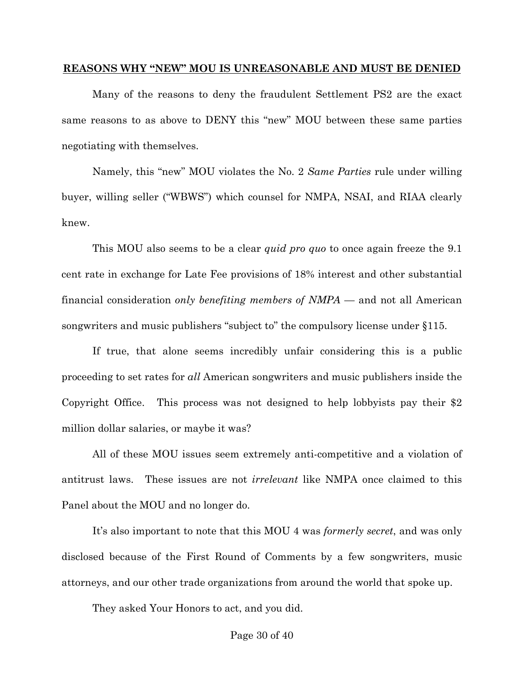#### **REASONS WHY "NEW" MOU IS UNREASONABLE AND MUST BE DENIED**

Many of the reasons to deny the fraudulent Settlement PS2 are the exact same reasons to as above to DENY this "new" MOU between these same parties negotiating with themselves.

Namely, this "new" MOU violates the No. 2 *Same Parties* rule under willing buyer, willing seller ("WBWS") which counsel for NMPA, NSAI, and RIAA clearly knew.

This MOU also seems to be a clear *quid pro quo* to once again freeze the 9.1 cent rate in exchange for Late Fee provisions of 18% interest and other substantial financial consideration *only benefiting members of NMPA* — and not all American songwriters and music publishers "subject to" the compulsory license under §115.

If true, that alone seems incredibly unfair considering this is a public proceeding to set rates for *all* American songwriters and music publishers inside the Copyright Office. This process was not designed to help lobbyists pay their \$2 million dollar salaries, or maybe it was?

All of these MOU issues seem extremely anti-competitive and a violation of antitrust laws. These issues are not *irrelevant* like NMPA once claimed to this Panel about the MOU and no longer do.

It's also important to note that this MOU 4 was *formerly secret*, and was only disclosed because of the First Round of Comments by a few songwriters, music attorneys, and our other trade organizations from around the world that spoke up.

They asked Your Honors to act, and you did.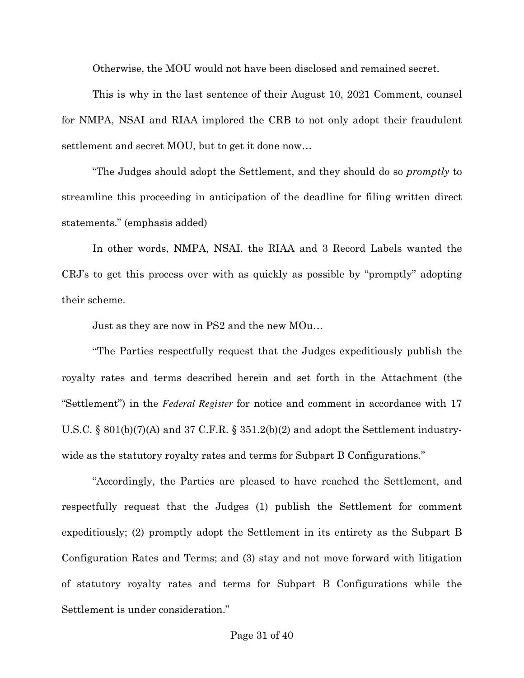Otherwise, the MOU would not have been disclosed and remained secret.

This is why in the last sentence of their August 10, 2021 Comment, counsel for NMPA, NSAI and RIAA implored the CRB to not only adopt their fraudulent settlement and secret MOU, but to get it done now…

"The Judges should adopt the Settlement, and they should do so *promptly* to streamline this proceeding in anticipation of the deadline for filing written direct statements." (emphasis added)

In other words, NMPA, NSAI, the RIAA and 3 Record Labels wanted the CRJ's to get this process over with as quickly as possible by "promptly" adopting their scheme.

Just as they are now in PS2 and the new MOu…

"The Parties respectfully request that the Judges expeditiously publish the royalty rates and terms described herein and set forth in the Attachment (the "Settlement") in the *Federal Register* for notice and comment in accordance with 17 U.S.C. § 801(b)(7)(A) and 37 C.F.R. § 351.2(b)(2) and adopt the Settlement industrywide as the statutory royalty rates and terms for Subpart B Configurations."

"Accordingly, the Parties are pleased to have reached the Settlement, and respectfully request that the Judges (1) publish the Settlement for comment expeditiously; (2) promptly adopt the Settlement in its entirety as the Subpart B Configuration Rates and Terms; and (3) stay and not move forward with litigation of statutory royalty rates and terms for Subpart B Configurations while the Settlement is under consideration."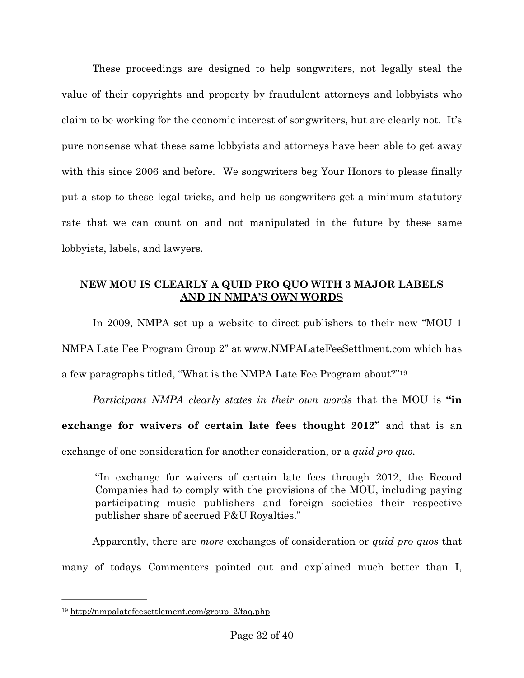These proceedings are designed to help songwriters, not legally steal the value of their copyrights and property by fraudulent attorneys and lobbyists who claim to be working for the economic interest of songwriters, but are clearly not. It's pure nonsense what these same lobbyists and attorneys have been able to get away with this since 2006 and before. We songwriters beg Your Honors to please finally put a stop to these legal tricks, and help us songwriters get a minimum statutory rate that we can count on and not manipulated in the future by these same lobbyists, labels, and lawyers.

# **NEW MOU IS CLEARLY A QUID PRO QUO WITH 3 MAJOR LABELS AND IN NMPA'S OWN WORDS**

In 2009, NMPA set up a website to direct publishers to their new "MOU 1 NMPA Late Fee Program Group 2" at [www.NMPALateFeeSettlment.com](http://www.NMPALateFeeSettlment.com) which has a few paragraphs titled, "What is the NMPA Late Fee Program about?"[19](#page-31-0)

*Participant NMPA clearly states in their own words* that the MOU is **"in exchange for waivers of certain late fees thought 2012"** and that is an exchange of one consideration for another consideration, or a *quid pro quo.*

<span id="page-31-1"></span>"In exchange for waivers of certain late fees through 2012, the Record Companies had to comply with the provisions of the MOU, including paying participating music publishers and foreign societies their respective publisher share of accrued P&U Royalties."

Apparently, there are *more* exchanges of consideration or *quid pro quos* that many of todays Commenters pointed out and explained much better than I,

<span id="page-31-0"></span><sup>&</sup>lt;sup>[19](#page-31-1)</sup> http://nmpalatefeesettlement.com/group\_2/faq.php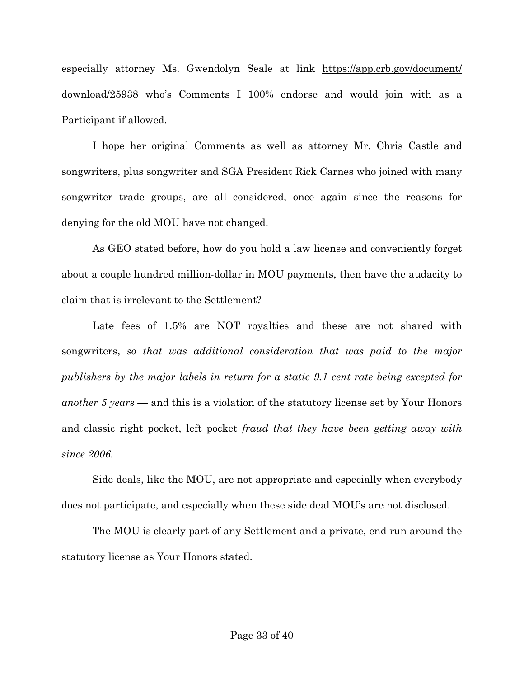especially attorney Ms. Gwendolyn Seale at link [https://app.crb.gov/document/](https://app.crb.gov/document/download/25938) [download/25938](https://app.crb.gov/document/download/25938) who's Comments I 100% endorse and would join with as a Participant if allowed.

I hope her original Comments as well as attorney Mr. Chris Castle and songwriters, plus songwriter and SGA President Rick Carnes who joined with many songwriter trade groups, are all considered, once again since the reasons for denying for the old MOU have not changed.

As GEO stated before, how do you hold a law license and conveniently forget about a couple hundred million-dollar in MOU payments, then have the audacity to claim that is irrelevant to the Settlement?

Late fees of 1.5% are NOT royalties and these are not shared with songwriters, *so that was additional consideration that was paid to the major publishers by the major labels in return for a static 9.1 cent rate being excepted for another 5 years* — and this is a violation of the statutory license set by Your Honors and classic right pocket, left pocket *fraud that they have been getting away with since 2006.*

Side deals, like the MOU, are not appropriate and especially when everybody does not participate, and especially when these side deal MOU's are not disclosed.

The MOU is clearly part of any Settlement and a private, end run around the statutory license as Your Honors stated.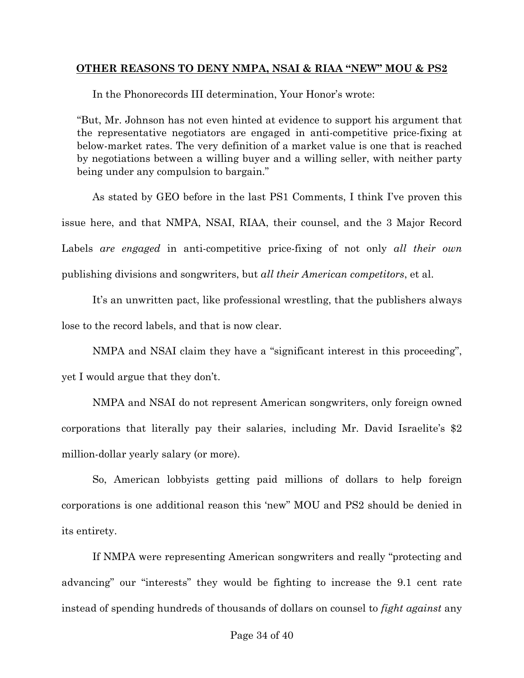## **OTHER REASONS TO DENY NMPA, NSAI & RIAA "NEW" MOU & PS2**

In the Phonorecords III determination, Your Honor's wrote:

"But, Mr. Johnson has not even hinted at evidence to support his argument that the representative negotiators are engaged in anti-competitive price-fixing at below-market rates. The very definition of a market value is one that is reached by negotiations between a willing buyer and a willing seller, with neither party being under any compulsion to bargain."

As stated by GEO before in the last PS1 Comments, I think I've proven this issue here, and that NMPA, NSAI, RIAA, their counsel, and the 3 Major Record Labels *are engaged* in anti-competitive price-fixing of not only *all their own*  publishing divisions and songwriters, but *all their American competitors*, et al.

It's an unwritten pact, like professional wrestling, that the publishers always lose to the record labels, and that is now clear.

NMPA and NSAI claim they have a "significant interest in this proceeding", yet I would argue that they don't.

NMPA and NSAI do not represent American songwriters, only foreign owned corporations that literally pay their salaries, including Mr. David Israelite's \$2 million-dollar yearly salary (or more).

So, American lobbyists getting paid millions of dollars to help foreign corporations is one additional reason this 'new" MOU and PS2 should be denied in its entirety.

If NMPA were representing American songwriters and really "protecting and advancing" our "interests" they would be fighting to increase the 9.1 cent rate instead of spending hundreds of thousands of dollars on counsel to *fight against* any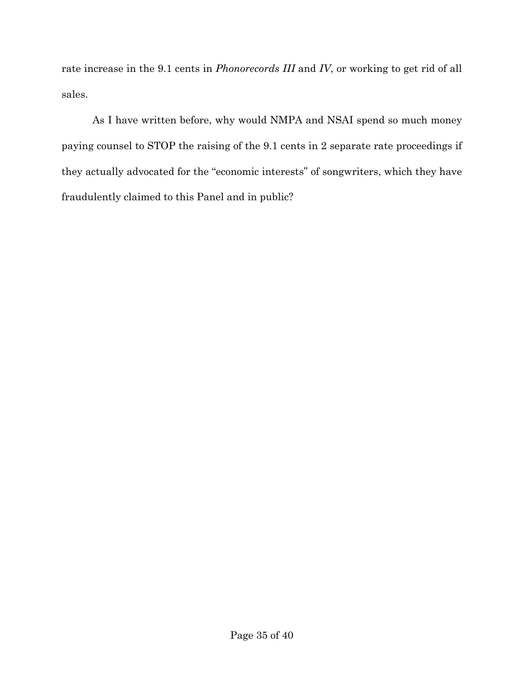rate increase in the 9.1 cents in *Phonorecords III* and *IV*, or working to get rid of all sales.

As I have written before, why would NMPA and NSAI spend so much money paying counsel to STOP the raising of the 9.1 cents in 2 separate rate proceedings if they actually advocated for the "economic interests" of songwriters, which they have fraudulently claimed to this Panel and in public?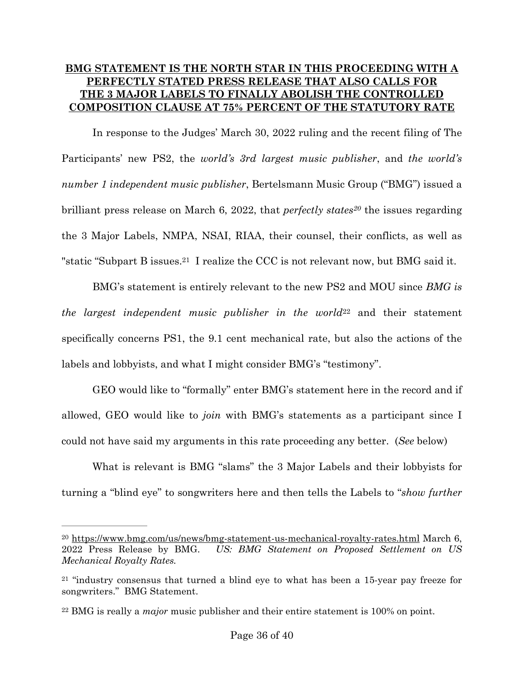# **BMG STATEMENT IS THE NORTH STAR IN THIS PROCEEDING WITH A PERFECTLY STATED PRESS RELEASE THAT ALSO CALLS FOR THE 3 MAJOR LABELS TO FINALLY ABOLISH THE CONTROLLED COMPOSITION CLAUSE AT 75% PERCENT OF THE STATUTORY RATE**

<span id="page-35-3"></span>In response to the Judges' March 30, 2022 ruling and the recent filing of The Participants' new PS2, the *world's 3rd largest music publisher*, and *the world's number 1 independent music publisher*, Bertelsmann Music Group ("BMG") issued a brilliant press release on March 6, [20](#page-35-0)22, that *perfectly states<sup>20</sup>* the issues regarding the 3 Major Labels, NMPA, NSAI, RIAA, their counsel, their conflicts, as well as "static"Subpart B issues.<sup>21</sup> I realize the CCC is not relevant now, but BMG said it.

<span id="page-35-5"></span><span id="page-35-4"></span>BMG's statement is entirely relevant to the new PS2 and MOU since *BMG is the largest independent music publisher in the world*<sup>[22](#page-35-2)</sup> and their statement specifically concerns PS1, the 9.1 cent mechanical rate, but also the actions of the labels and lobbyists, and what I might consider BMG's "testimony".

GEO would like to "formally" enter BMG's statement here in the record and if allowed, GEO would like to *join* with BMG's statements as a participant since I could not have said my arguments in this rate proceeding any better. (*See* below)

What is relevant is BMG "slams" the 3 Major Labels and their lobbyists for turning a "blind eye" to songwriters here and then tells the Labels to "*show further* 

<span id="page-35-0"></span> $20$  <https://www.bmg.com/us/news/bmg-statement-us-mechanical-royalty-rates.html>March 6, 2022 Press Release by BMG. *US: BMG Statement on Proposed Settlement on US Mechanical Royalty Rates.*

<span id="page-35-1"></span> $21$  "industry consensus that turned a blind eye to what has been a 15-year pay freeze for songwriters." BMG Statement.

<span id="page-35-2"></span><sup>&</sup>lt;sup>[22](#page-35-5)</sup> BMG is really a *major* music publisher and their entire statement is 100% on point.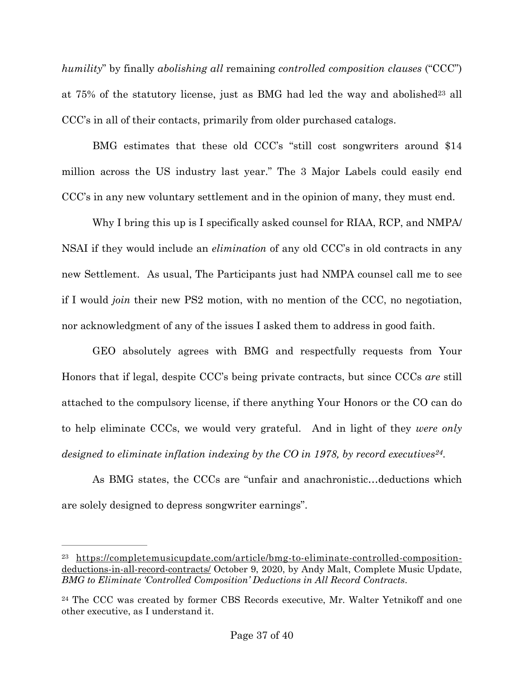<span id="page-36-2"></span>*humility*" by finally *abolishing all* remaining *controlled composition clauses* ("CCC") at75% of the statutory license, just as BMG had led the way and abolished<sup>[23](#page-36-0)</sup> all CCC's in all of their contacts, primarily from older purchased catalogs.

BMG estimates that these old CCC's "still cost songwriters around \$14 million across the US industry last year." The 3 Major Labels could easily end CCC's in any new voluntary settlement and in the opinion of many, they must end.

Why I bring this up is I specifically asked counsel for RIAA, RCP, and NMPA/ NSAI if they would include an *elimination* of any old CCC's in old contracts in any new Settlement. As usual, The Participants just had NMPA counsel call me to see if I would *join* their new PS2 motion, with no mention of the CCC, no negotiation, nor acknowledgment of any of the issues I asked them to address in good faith.

GEO absolutely agrees with BMG and respectfully requests from Your Honors that if legal, despite CCC's being private contracts, but since CCCs *are* still attached to the compulsory license, if there anything Your Honors or the CO can do to help eliminate CCCs, we would very grateful. And in light of they *were only designed to eliminate inflation indexing by the CO in 1978, by record executives*<sup>[24](#page-36-1)</sup>.

<span id="page-36-3"></span>As BMG states, the CCCs are "unfair and anachronistic…deductions which are solely designed to depress songwriter earnings".

<span id="page-36-0"></span>[https://completemusicupdate.com/article/bmg-to-eliminate-controlled-composition-](https://completemusicupdate.com/article/bmg-to-eliminate-controlled-composition-deductions-in-all-record-contracts/) [23](#page-36-2) [deductions-in-all-record-contracts/](https://completemusicupdate.com/article/bmg-to-eliminate-controlled-composition-deductions-in-all-record-contracts/) October 9, 2020, by Andy Malt, Complete Music Update, *BMG to Eliminate 'Controlled Composition' Deductions in All Record Contracts*.

<span id="page-36-1"></span> $24$  The CCC was created by former CBS Records executive, Mr. Walter Yetnikoff and one other executive, as I understand it.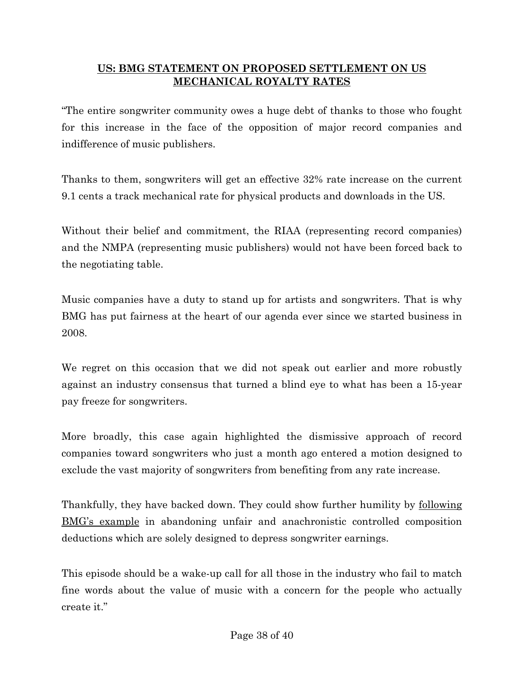# **US: BMG STATEMENT ON PROPOSED SETTLEMENT ON US MECHANICAL ROYALTY RATES**

"The entire songwriter community owes a huge debt of thanks to those who fought for this increase in the face of the opposition of major record companies and indifference of music publishers.

Thanks to them, songwriters will get an effective 32% rate increase on the current 9.1 cents a track mechanical rate for physical products and downloads in the US.

Without their belief and commitment, the RIAA (representing record companies) and the NMPA (representing music publishers) would not have been forced back to the negotiating table.

Music companies have a duty to stand up for artists and songwriters. That is why BMG has put fairness at the heart of our agenda ever since we started business in 2008.

We regret on this occasion that we did not speak out earlier and more robustly against an industry consensus that turned a blind eye to what has been a 15-year pay freeze for songwriters.

More broadly, this case again highlighted the dismissive approach of record companies toward songwriters who just a month ago entered a motion designed to exclude the vast majority of songwriters from benefiting from any rate increase.

Thankfully, they have backed down. They could show further humility by following [BMG's example](https://www.bmg.com/news/control-composition-us.html) in abandoning unfair and anachronistic controlled composition deductions which are solely designed to depress songwriter earnings.

This episode should be a wake-up call for all those in the industry who fail to match fine words about the value of music with a concern for the people who actually create it."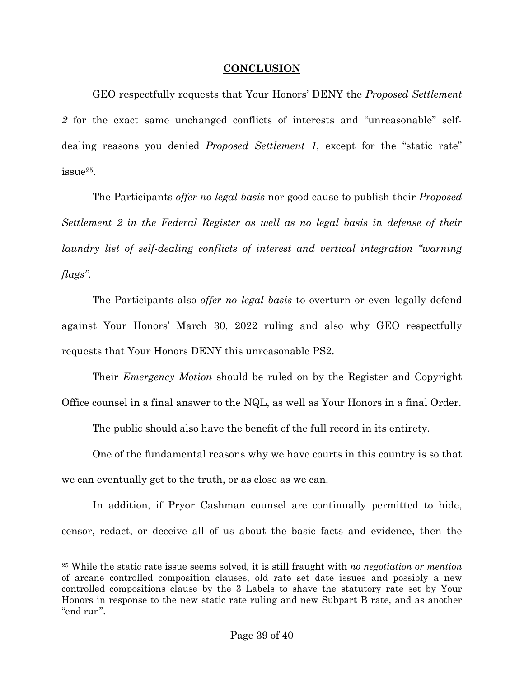## **CONCLUSION**

GEO respectfully requests that Your Honors' DENY the *Proposed Settlement 2* for the exact same unchanged conflicts of interests and "unreasonable" selfdealing reasons you denied *Proposed Settlement 1*, except for the "static rate"  $i$ ssue $25$ .

<span id="page-38-1"></span>The Participants *offer no legal basis* nor good cause to publish their *Proposed Settlement 2 in the Federal Register as well as no legal basis in defense of their laundry list of self-dealing conflicts of interest and vertical integration "warning flags".* 

The Participants also *offer no legal basis* to overturn or even legally defend against Your Honors' March 30, 2022 ruling and also why GEO respectfully requests that Your Honors DENY this unreasonable PS2.

Their *Emergency Motion* should be ruled on by the Register and Copyright Office counsel in a final answer to the NQL, as well as Your Honors in a final Order.

The public should also have the benefit of the full record in its entirety.

One of the fundamental reasons why we have courts in this country is so that we can eventually get to the truth, or as close as we can.

In addition, if Pryor Cashman counsel are continually permitted to hide, censor, redact, or deceive all of us about the basic facts and evidence, then the

<span id="page-38-0"></span>[<sup>25</sup>](#page-38-1) While the static rate issue seems solved, it is still fraught with *no negotiation or mention* of arcane controlled composition clauses, old rate set date issues and possibly a new controlled compositions clause by the 3 Labels to shave the statutory rate set by Your Honors in response to the new static rate ruling and new Subpart B rate, and as another "end run".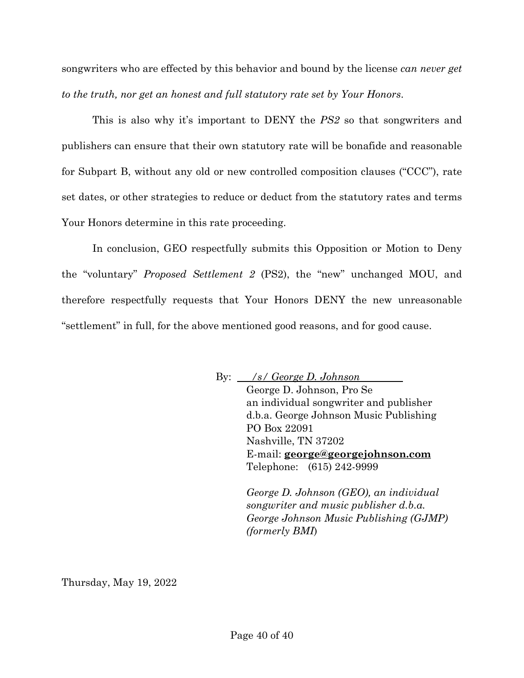songwriters who are effected by this behavior and bound by the license *can never get to the truth, nor get an honest and full statutory rate set by Your Honors*.

This is also why it's important to DENY the *PS2* so that songwriters and publishers can ensure that their own statutory rate will be bonafide and reasonable for Subpart B, without any old or new controlled composition clauses ("CCC"), rate set dates, or other strategies to reduce or deduct from the statutory rates and terms Your Honors determine in this rate proceeding.

In conclusion, GEO respectfully submits this Opposition or Motion to Deny the "voluntary" *Proposed Settlement 2* (PS2), the "new" unchanged MOU, and therefore respectfully requests that Your Honors DENY the new unreasonable "settlement" in full, for the above mentioned good reasons, and for good cause.

> By: */s/ George D. Johnson*  George D. Johnson, Pro Se an individual songwriter and publisher d.b.a. George Johnson Music Publishing PO Box 22091 Nashville, TN 37202 E-mail: **[george@georgejohnson.com](mailto:george@georgejohnson.com)** Telephone: (615) 242-9999

> > *George D. Johnson (GEO), an individual songwriter and music publisher d.b.a. George Johnson Music Publishing (GJMP) (formerly BMI*)

Thursday, May 19, 2022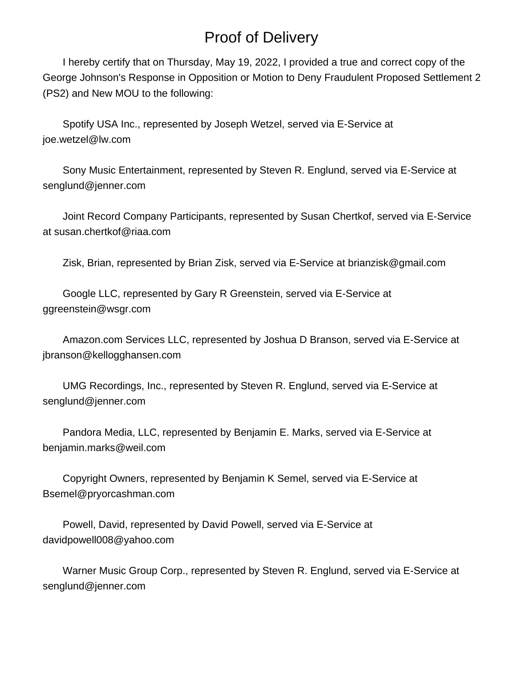# Proof of Delivery

 I hereby certify that on Thursday, May 19, 2022, I provided a true and correct copy of the George Johnson's Response in Opposition or Motion to Deny Fraudulent Proposed Settlement 2 (PS2) and New MOU to the following:

 Spotify USA Inc., represented by Joseph Wetzel, served via E-Service at joe.wetzel@lw.com

 Sony Music Entertainment, represented by Steven R. Englund, served via E-Service at senglund@jenner.com

 Joint Record Company Participants, represented by Susan Chertkof, served via E-Service at susan.chertkof@riaa.com

Zisk, Brian, represented by Brian Zisk, served via E-Service at brianzisk@gmail.com

 Google LLC, represented by Gary R Greenstein, served via E-Service at ggreenstein@wsgr.com

 Amazon.com Services LLC, represented by Joshua D Branson, served via E-Service at jbranson@kellogghansen.com

 UMG Recordings, Inc., represented by Steven R. Englund, served via E-Service at senglund@jenner.com

 Pandora Media, LLC, represented by Benjamin E. Marks, served via E-Service at benjamin.marks@weil.com

 Copyright Owners, represented by Benjamin K Semel, served via E-Service at Bsemel@pryorcashman.com

 Powell, David, represented by David Powell, served via E-Service at davidpowell008@yahoo.com

 Warner Music Group Corp., represented by Steven R. Englund, served via E-Service at senglund@jenner.com